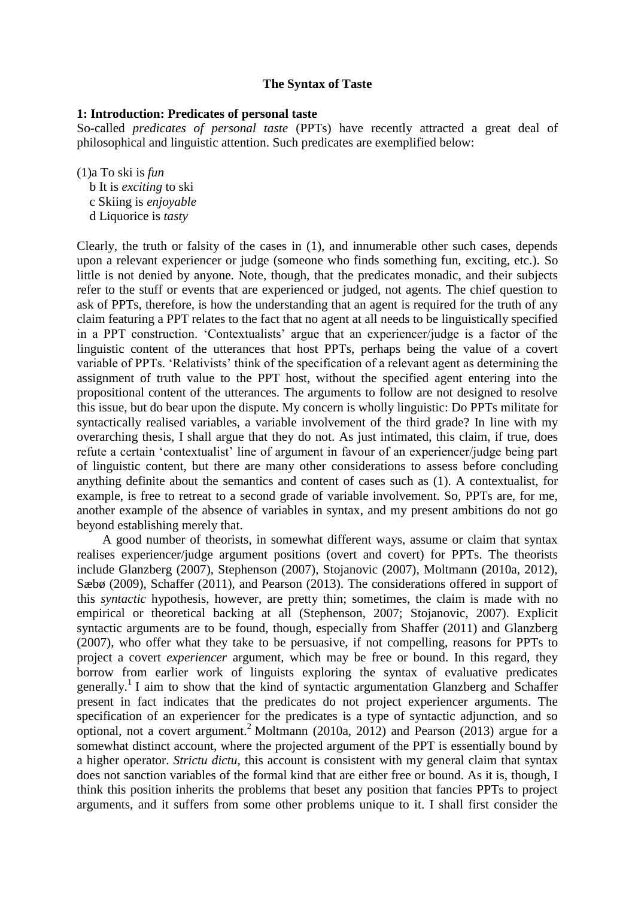## **The Syntax of Taste**

### **1: Introduction: Predicates of personal taste**

So-called *predicates of personal taste* (PPTs) have recently attracted a great deal of philosophical and linguistic attention. Such predicates are exemplified below:

(1)a To ski is *fun*

 b It is *exciting* to ski c Skiing is *enjoyable*

d Liquorice is *tasty*

Clearly, the truth or falsity of the cases in (1), and innumerable other such cases, depends upon a relevant experiencer or judge (someone who finds something fun, exciting, etc.). So little is not denied by anyone. Note, though, that the predicates monadic, and their subjects refer to the stuff or events that are experienced or judged, not agents. The chief question to ask of PPTs, therefore, is how the understanding that an agent is required for the truth of any claim featuring a PPT relates to the fact that no agent at all needs to be linguistically specified in a PPT construction. 'Contextualists' argue that an experiencer/judge is a factor of the linguistic content of the utterances that host PPTs, perhaps being the value of a covert variable of PPTs. 'Relativists' think of the specification of a relevant agent as determining the assignment of truth value to the PPT host, without the specified agent entering into the propositional content of the utterances. The arguments to follow are not designed to resolve this issue, but do bear upon the dispute. My concern is wholly linguistic: Do PPTs militate for syntactically realised variables, a variable involvement of the third grade? In line with my overarching thesis, I shall argue that they do not. As just intimated, this claim, if true, does refute a certain 'contextualist' line of argument in favour of an experiencer/judge being part of linguistic content, but there are many other considerations to assess before concluding anything definite about the semantics and content of cases such as (1). A contextualist, for example, is free to retreat to a second grade of variable involvement. So, PPTs are, for me, another example of the absence of variables in syntax, and my present ambitions do not go beyond establishing merely that.

 A good number of theorists, in somewhat different ways, assume or claim that syntax realises experiencer/judge argument positions (overt and covert) for PPTs. The theorists include Glanzberg (2007), Stephenson (2007), Stojanovic (2007), Moltmann (2010a, 2012), Sæbø (2009), Schaffer (2011), and Pearson (2013). The considerations offered in support of this *syntactic* hypothesis, however, are pretty thin; sometimes, the claim is made with no empirical or theoretical backing at all (Stephenson, 2007; Stojanovic, 2007). Explicit syntactic arguments are to be found, though, especially from Shaffer (2011) and Glanzberg (2007), who offer what they take to be persuasive, if not compelling, reasons for PPTs to project a covert *experiencer* argument, which may be free or bound. In this regard, they borrow from earlier work of linguists exploring the syntax of evaluative predicates generally.<sup>1</sup> I aim to show that the kind of syntactic argumentation Glanzberg and Schaffer present in fact indicates that the predicates do not project experiencer arguments. The specification of an experiencer for the predicates is a type of syntactic adjunction, and so optional, not a covert argument.<sup>2</sup> Moltmann (2010a, 2012) and Pearson (2013) argue for a somewhat distinct account, where the projected argument of the PPT is essentially bound by a higher operator. *Strictu dictu*, this account is consistent with my general claim that syntax does not sanction variables of the formal kind that are either free or bound. As it is, though, I think this position inherits the problems that beset any position that fancies PPTs to project arguments, and it suffers from some other problems unique to it. I shall first consider the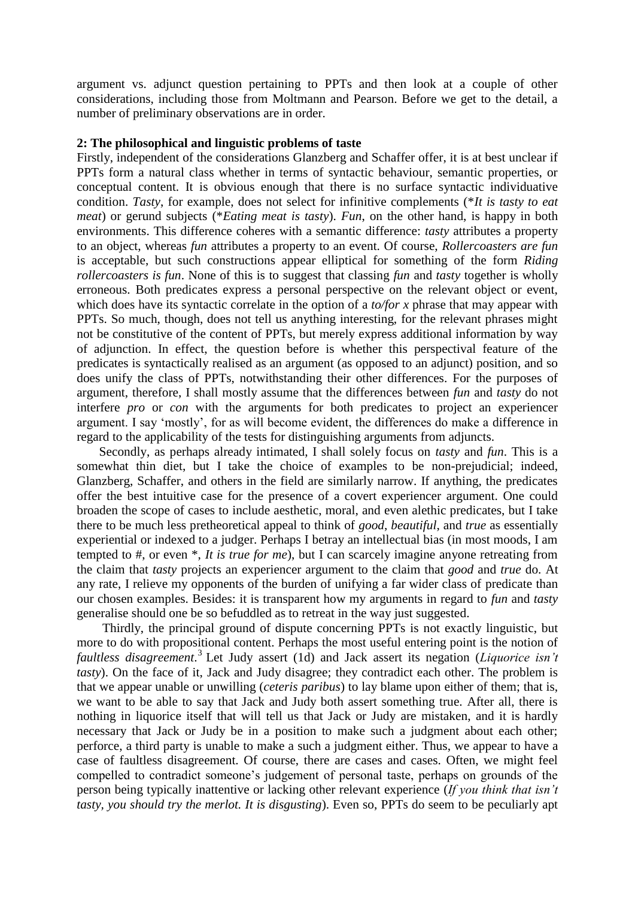argument vs. adjunct question pertaining to PPTs and then look at a couple of other considerations, including those from Moltmann and Pearson. Before we get to the detail, a number of preliminary observations are in order.

### **2: The philosophical and linguistic problems of taste**

Firstly, independent of the considerations Glanzberg and Schaffer offer, it is at best unclear if PPTs form a natural class whether in terms of syntactic behaviour, semantic properties, or conceptual content. It is obvious enough that there is no surface syntactic individuative condition. *Tasty*, for example, does not select for infinitive complements (\**It is tasty to eat meat*) or gerund subjects (\**Eating meat is tasty*). *Fun*, on the other hand, is happy in both environments. This difference coheres with a semantic difference: *tasty* attributes a property to an object, whereas *fun* attributes a property to an event. Of course, *Rollercoasters are fun* is acceptable, but such constructions appear elliptical for something of the form *Riding rollercoasters is fun*. None of this is to suggest that classing *fun* and *tasty* together is wholly erroneous. Both predicates express a personal perspective on the relevant object or event, which does have its syntactic correlate in the option of a *to/for x* phrase that may appear with PPTs. So much, though, does not tell us anything interesting, for the relevant phrases might not be constitutive of the content of PPTs, but merely express additional information by way of adjunction. In effect, the question before is whether this perspectival feature of the predicates is syntactically realised as an argument (as opposed to an adjunct) position, and so does unify the class of PPTs, notwithstanding their other differences. For the purposes of argument, therefore, I shall mostly assume that the differences between *fun* and *tasty* do not interfere *pro* or *con* with the arguments for both predicates to project an experiencer argument. I say 'mostly', for as will become evident, the differences do make a difference in regard to the applicability of the tests for distinguishing arguments from adjuncts.

 Secondly, as perhaps already intimated, I shall solely focus on *tasty* and *fun*. This is a somewhat thin diet, but I take the choice of examples to be non-prejudicial; indeed, Glanzberg, Schaffer, and others in the field are similarly narrow. If anything, the predicates offer the best intuitive case for the presence of a covert experiencer argument. One could broaden the scope of cases to include aesthetic, moral, and even alethic predicates, but I take there to be much less pretheoretical appeal to think of *good*, *beautiful*, and *true* as essentially experiential or indexed to a judger. Perhaps I betray an intellectual bias (in most moods, I am tempted to #, or even \*, *It is true for me*), but I can scarcely imagine anyone retreating from the claim that *tasty* projects an experiencer argument to the claim that *good* and *true* do. At any rate, I relieve my opponents of the burden of unifying a far wider class of predicate than our chosen examples. Besides: it is transparent how my arguments in regard to *fun* and *tasty* generalise should one be so befuddled as to retreat in the way just suggested.

 Thirdly, the principal ground of dispute concerning PPTs is not exactly linguistic, but more to do with propositional content. Perhaps the most useful entering point is the notion of *faultless disagreement*. 3 Let Judy assert (1d) and Jack assert its negation (*Liquorice isn't tasty*). On the face of it, Jack and Judy disagree; they contradict each other. The problem is that we appear unable or unwilling (*ceteris paribus*) to lay blame upon either of them; that is, we want to be able to say that Jack and Judy both assert something true. After all, there is nothing in liquorice itself that will tell us that Jack or Judy are mistaken, and it is hardly necessary that Jack or Judy be in a position to make such a judgment about each other; perforce, a third party is unable to make a such a judgment either. Thus, we appear to have a case of faultless disagreement. Of course, there are cases and cases. Often, we might feel compelled to contradict someone's judgement of personal taste, perhaps on grounds of the person being typically inattentive or lacking other relevant experience (*If you think that isn't tasty, you should try the merlot. It is disgusting*). Even so, PPTs do seem to be peculiarly apt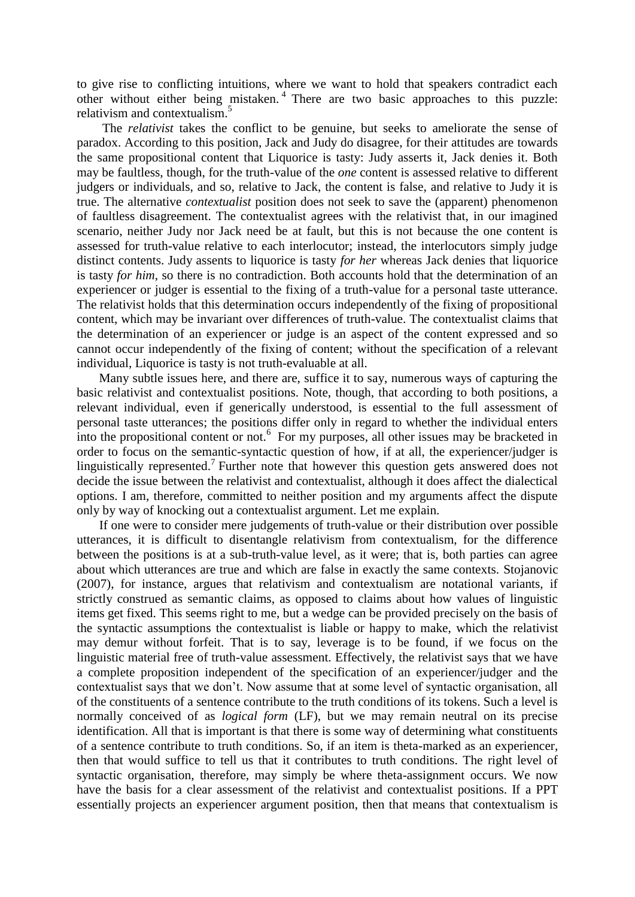to give rise to conflicting intuitions, where we want to hold that speakers contradict each other without either being mistaken. <sup>4</sup> There are two basic approaches to this puzzle: relativism and contextualism.<sup>5</sup>

 The *relativist* takes the conflict to be genuine, but seeks to ameliorate the sense of paradox. According to this position, Jack and Judy do disagree, for their attitudes are towards the same propositional content that Liquorice is tasty: Judy asserts it, Jack denies it. Both may be faultless, though, for the truth-value of the *one* content is assessed relative to different judgers or individuals, and so, relative to Jack, the content is false, and relative to Judy it is true. The alternative *contextualist* position does not seek to save the (apparent) phenomenon of faultless disagreement. The contextualist agrees with the relativist that, in our imagined scenario, neither Judy nor Jack need be at fault, but this is not because the one content is assessed for truth-value relative to each interlocutor; instead, the interlocutors simply judge distinct contents. Judy assents to liquorice is tasty *for her* whereas Jack denies that liquorice is tasty *for him*, so there is no contradiction. Both accounts hold that the determination of an experiencer or judger is essential to the fixing of a truth-value for a personal taste utterance. The relativist holds that this determination occurs independently of the fixing of propositional content, which may be invariant over differences of truth-value. The contextualist claims that the determination of an experiencer or judge is an aspect of the content expressed and so cannot occur independently of the fixing of content; without the specification of a relevant individual, Liquorice is tasty is not truth-evaluable at all.

 Many subtle issues here, and there are, suffice it to say, numerous ways of capturing the basic relativist and contextualist positions. Note, though, that according to both positions, a relevant individual, even if generically understood, is essential to the full assessment of personal taste utterances; the positions differ only in regard to whether the individual enters into the propositional content or not.<sup>6</sup> For my purposes, all other issues may be bracketed in order to focus on the semantic-syntactic question of how, if at all, the experiencer/judger is linguistically represented.<sup>7</sup> Further note that however this question gets answered does not decide the issue between the relativist and contextualist, although it does affect the dialectical options. I am, therefore, committed to neither position and my arguments affect the dispute only by way of knocking out a contextualist argument. Let me explain.

 If one were to consider mere judgements of truth-value or their distribution over possible utterances, it is difficult to disentangle relativism from contextualism, for the difference between the positions is at a sub-truth-value level, as it were; that is, both parties can agree about which utterances are true and which are false in exactly the same contexts. Stojanovic (2007), for instance, argues that relativism and contextualism are notational variants, if strictly construed as semantic claims, as opposed to claims about how values of linguistic items get fixed. This seems right to me, but a wedge can be provided precisely on the basis of the syntactic assumptions the contextualist is liable or happy to make, which the relativist may demur without forfeit. That is to say, leverage is to be found, if we focus on the linguistic material free of truth-value assessment. Effectively, the relativist says that we have a complete proposition independent of the specification of an experiencer/judger and the contextualist says that we don't. Now assume that at some level of syntactic organisation, all of the constituents of a sentence contribute to the truth conditions of its tokens. Such a level is normally conceived of as *logical form* (LF), but we may remain neutral on its precise identification. All that is important is that there is some way of determining what constituents of a sentence contribute to truth conditions. So, if an item is theta-marked as an experiencer, then that would suffice to tell us that it contributes to truth conditions. The right level of syntactic organisation, therefore, may simply be where theta-assignment occurs. We now have the basis for a clear assessment of the relativist and contextualist positions. If a PPT essentially projects an experiencer argument position, then that means that contextualism is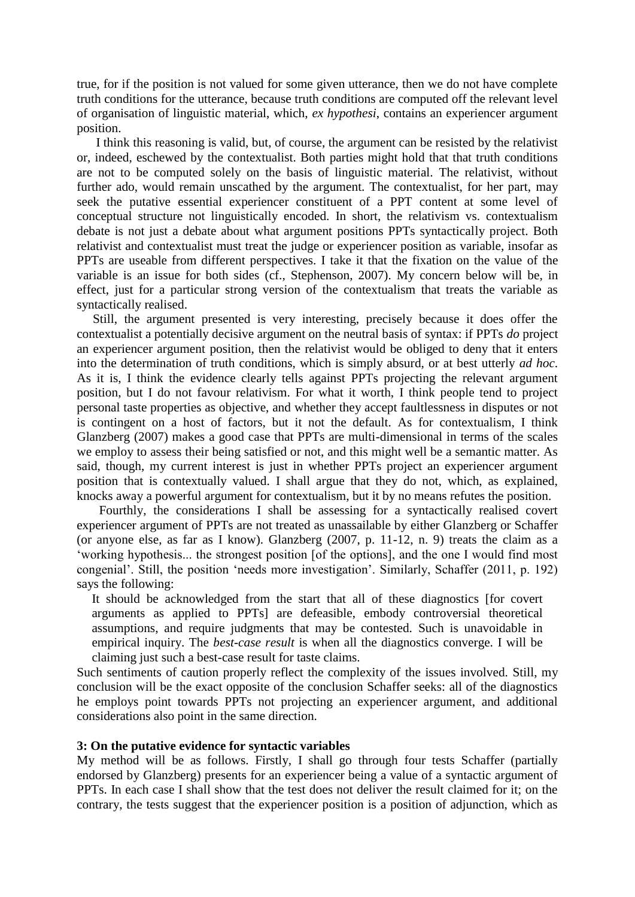true, for if the position is not valued for some given utterance, then we do not have complete truth conditions for the utterance, because truth conditions are computed off the relevant level of organisation of linguistic material, which, *ex hypothesi*, contains an experiencer argument position.

 I think this reasoning is valid, but, of course, the argument can be resisted by the relativist or, indeed, eschewed by the contextualist. Both parties might hold that that truth conditions are not to be computed solely on the basis of linguistic material. The relativist, without further ado, would remain unscathed by the argument. The contextualist, for her part, may seek the putative essential experiencer constituent of a PPT content at some level of conceptual structure not linguistically encoded. In short, the relativism vs. contextualism debate is not just a debate about what argument positions PPTs syntactically project. Both relativist and contextualist must treat the judge or experiencer position as variable, insofar as PPTs are useable from different perspectives. I take it that the fixation on the value of the variable is an issue for both sides (cf., Stephenson, 2007). My concern below will be, in effect, just for a particular strong version of the contextualism that treats the variable as syntactically realised.

 Still, the argument presented is very interesting, precisely because it does offer the contextualist a potentially decisive argument on the neutral basis of syntax: if PPTs *do* project an experiencer argument position, then the relativist would be obliged to deny that it enters into the determination of truth conditions, which is simply absurd, or at best utterly *ad hoc*. As it is, I think the evidence clearly tells against PPTs projecting the relevant argument position, but I do not favour relativism. For what it worth, I think people tend to project personal taste properties as objective, and whether they accept faultlessness in disputes or not is contingent on a host of factors, but it not the default. As for contextualism, I think Glanzberg (2007) makes a good case that PPTs are multi-dimensional in terms of the scales we employ to assess their being satisfied or not, and this might well be a semantic matter. As said, though, my current interest is just in whether PPTs project an experiencer argument position that is contextually valued. I shall argue that they do not, which, as explained, knocks away a powerful argument for contextualism, but it by no means refutes the position.

 Fourthly, the considerations I shall be assessing for a syntactically realised covert experiencer argument of PPTs are not treated as unassailable by either Glanzberg or Schaffer (or anyone else, as far as I know). Glanzberg (2007, p. 11-12, n. 9) treats the claim as a 'working hypothesis... the strongest position [of the options], and the one I would find most congenial'. Still, the position 'needs more investigation'. Similarly, Schaffer (2011, p. 192) says the following:

It should be acknowledged from the start that all of these diagnostics [for covert arguments as applied to PPTs] are defeasible, embody controversial theoretical assumptions, and require judgments that may be contested. Such is unavoidable in empirical inquiry. The *best-case result* is when all the diagnostics converge. I will be claiming just such a best-case result for taste claims.

Such sentiments of caution properly reflect the complexity of the issues involved. Still, my conclusion will be the exact opposite of the conclusion Schaffer seeks: all of the diagnostics he employs point towards PPTs not projecting an experiencer argument, and additional considerations also point in the same direction.

### **3: On the putative evidence for syntactic variables**

My method will be as follows. Firstly, I shall go through four tests Schaffer (partially endorsed by Glanzberg) presents for an experiencer being a value of a syntactic argument of PPTs. In each case I shall show that the test does not deliver the result claimed for it; on the contrary, the tests suggest that the experiencer position is a position of adjunction, which as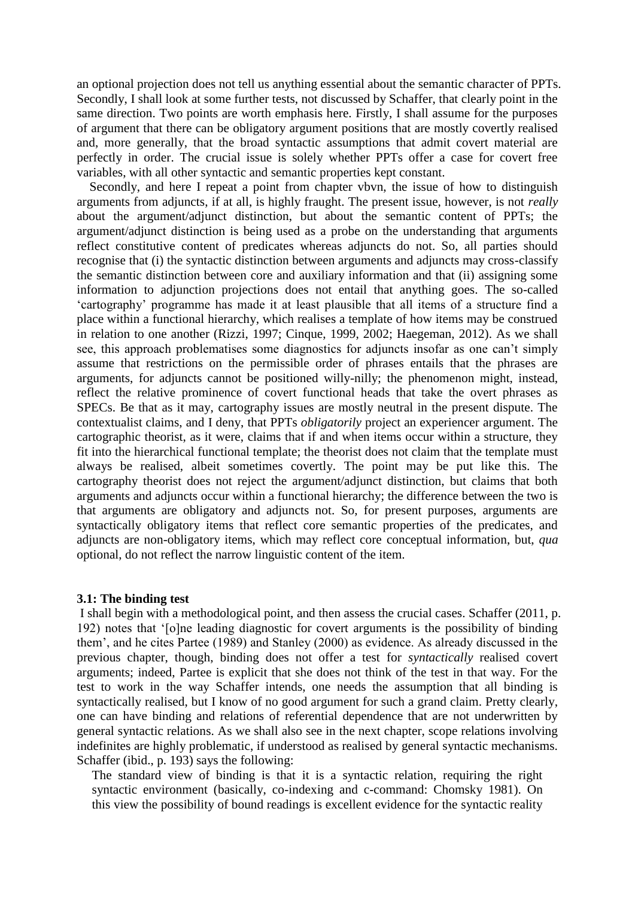an optional projection does not tell us anything essential about the semantic character of PPTs. Secondly, I shall look at some further tests, not discussed by Schaffer, that clearly point in the same direction. Two points are worth emphasis here. Firstly, I shall assume for the purposes of argument that there can be obligatory argument positions that are mostly covertly realised and, more generally, that the broad syntactic assumptions that admit covert material are perfectly in order. The crucial issue is solely whether PPTs offer a case for covert free variables, with all other syntactic and semantic properties kept constant.

 Secondly, and here I repeat a point from chapter vbvn, the issue of how to distinguish arguments from adjuncts, if at all, is highly fraught. The present issue, however, is not *really* about the argument/adjunct distinction, but about the semantic content of PPTs; the argument/adjunct distinction is being used as a probe on the understanding that arguments reflect constitutive content of predicates whereas adjuncts do not. So, all parties should recognise that (i) the syntactic distinction between arguments and adjuncts may cross-classify the semantic distinction between core and auxiliary information and that (ii) assigning some information to adjunction projections does not entail that anything goes. The so-called 'cartography' programme has made it at least plausible that all items of a structure find a place within a functional hierarchy, which realises a template of how items may be construed in relation to one another (Rizzi, 1997; Cinque, 1999, 2002; Haegeman, 2012). As we shall see, this approach problematises some diagnostics for adjuncts insofar as one can't simply assume that restrictions on the permissible order of phrases entails that the phrases are arguments, for adjuncts cannot be positioned willy-nilly; the phenomenon might, instead, reflect the relative prominence of covert functional heads that take the overt phrases as SPECs. Be that as it may, cartography issues are mostly neutral in the present dispute. The contextualist claims, and I deny, that PPTs *obligatorily* project an experiencer argument. The cartographic theorist, as it were, claims that if and when items occur within a structure, they fit into the hierarchical functional template; the theorist does not claim that the template must always be realised, albeit sometimes covertly. The point may be put like this. The cartography theorist does not reject the argument/adjunct distinction, but claims that both arguments and adjuncts occur within a functional hierarchy; the difference between the two is that arguments are obligatory and adjuncts not. So, for present purposes, arguments are syntactically obligatory items that reflect core semantic properties of the predicates, and adjuncts are non-obligatory items, which may reflect core conceptual information, but, *qua* optional, do not reflect the narrow linguistic content of the item.

#### **3.1: The binding test**

I shall begin with a methodological point, and then assess the crucial cases. Schaffer (2011, p. 192) notes that '[o]ne leading diagnostic for covert arguments is the possibility of binding them', and he cites Partee (1989) and Stanley (2000) as evidence. As already discussed in the previous chapter, though, binding does not offer a test for *syntactically* realised covert arguments; indeed, Partee is explicit that she does not think of the test in that way. For the test to work in the way Schaffer intends, one needs the assumption that all binding is syntactically realised, but I know of no good argument for such a grand claim. Pretty clearly, one can have binding and relations of referential dependence that are not underwritten by general syntactic relations. As we shall also see in the next chapter, scope relations involving indefinites are highly problematic, if understood as realised by general syntactic mechanisms. Schaffer (ibid., p. 193) says the following:

The standard view of binding is that it is a syntactic relation, requiring the right syntactic environment (basically, co-indexing and c-command: Chomsky 1981). On this view the possibility of bound readings is excellent evidence for the syntactic reality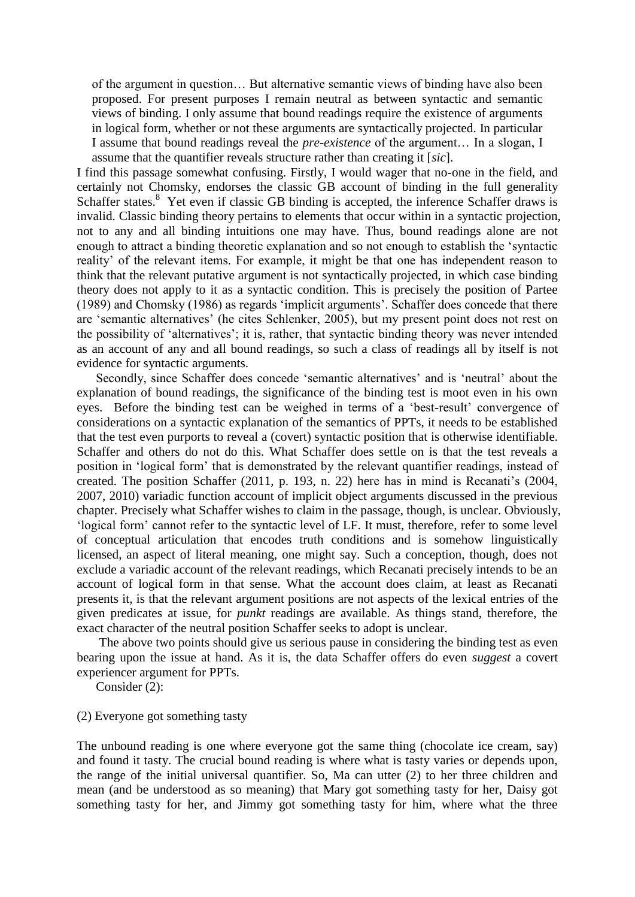of the argument in question… But alternative semantic views of binding have also been proposed. For present purposes I remain neutral as between syntactic and semantic views of binding. I only assume that bound readings require the existence of arguments in logical form, whether or not these arguments are syntactically projected. In particular I assume that bound readings reveal the *pre-existence* of the argument… In a slogan, I assume that the quantifier reveals structure rather than creating it [*sic*].

I find this passage somewhat confusing. Firstly, I would wager that no-one in the field, and certainly not Chomsky, endorses the classic GB account of binding in the full generality Schaffer states.<sup>8</sup> Yet even if classic GB binding is accepted, the inference Schaffer draws is invalid. Classic binding theory pertains to elements that occur within in a syntactic projection, not to any and all binding intuitions one may have. Thus, bound readings alone are not enough to attract a binding theoretic explanation and so not enough to establish the 'syntactic reality' of the relevant items. For example, it might be that one has independent reason to think that the relevant putative argument is not syntactically projected, in which case binding theory does not apply to it as a syntactic condition. This is precisely the position of Partee (1989) and Chomsky (1986) as regards 'implicit arguments'. Schaffer does concede that there are 'semantic alternatives' (he cites Schlenker, 2005), but my present point does not rest on the possibility of 'alternatives'; it is, rather, that syntactic binding theory was never intended as an account of any and all bound readings, so such a class of readings all by itself is not evidence for syntactic arguments.

 Secondly, since Schaffer does concede 'semantic alternatives' and is 'neutral' about the explanation of bound readings, the significance of the binding test is moot even in his own eyes. Before the binding test can be weighed in terms of a 'best-result' convergence of considerations on a syntactic explanation of the semantics of PPTs, it needs to be established that the test even purports to reveal a (covert) syntactic position that is otherwise identifiable. Schaffer and others do not do this. What Schaffer does settle on is that the test reveals a position in 'logical form' that is demonstrated by the relevant quantifier readings, instead of created. The position Schaffer (2011, p. 193, n. 22) here has in mind is Recanati's (2004, 2007, 2010) variadic function account of implicit object arguments discussed in the previous chapter. Precisely what Schaffer wishes to claim in the passage, though, is unclear. Obviously, 'logical form' cannot refer to the syntactic level of LF. It must, therefore, refer to some level of conceptual articulation that encodes truth conditions and is somehow linguistically licensed, an aspect of literal meaning, one might say. Such a conception, though, does not exclude a variadic account of the relevant readings, which Recanati precisely intends to be an account of logical form in that sense. What the account does claim, at least as Recanati presents it, is that the relevant argument positions are not aspects of the lexical entries of the given predicates at issue, for *punkt* readings are available. As things stand, therefore, the exact character of the neutral position Schaffer seeks to adopt is unclear.

 The above two points should give us serious pause in considering the binding test as even bearing upon the issue at hand. As it is, the data Schaffer offers do even *suggest* a covert experiencer argument for PPTs.

Consider (2):

### (2) Everyone got something tasty

The unbound reading is one where everyone got the same thing (chocolate ice cream, say) and found it tasty. The crucial bound reading is where what is tasty varies or depends upon, the range of the initial universal quantifier. So, Ma can utter (2) to her three children and mean (and be understood as so meaning) that Mary got something tasty for her, Daisy got something tasty for her, and Jimmy got something tasty for him, where what the three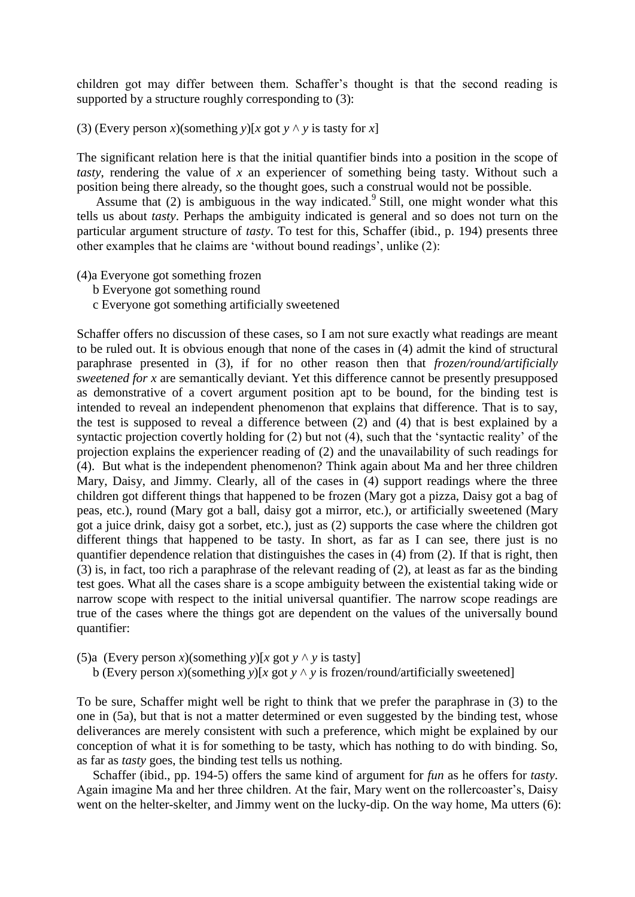children got may differ between them. Schaffer's thought is that the second reading is supported by a structure roughly corresponding to (3):

(3) (Every person *x*)(something *y*)[*x* got  $y \wedge y$  is tasty for *x*]

The significant relation here is that the initial quantifier binds into a position in the scope of *tasty*, rendering the value of *x* an experiencer of something being tasty. Without such a position being there already, so the thought goes, such a construal would not be possible.

Assume that  $(2)$  is ambiguous in the way indicated.<sup>9</sup> Still, one might wonder what this tells us about *tasty*. Perhaps the ambiguity indicated is general and so does not turn on the particular argument structure of *tasty*. To test for this, Schaffer (ibid., p. 194) presents three other examples that he claims are 'without bound readings', unlike (2):

- (4)a Everyone got something frozen
	- b Everyone got something round
	- c Everyone got something artificially sweetened

Schaffer offers no discussion of these cases, so I am not sure exactly what readings are meant to be ruled out. It is obvious enough that none of the cases in (4) admit the kind of structural paraphrase presented in (3), if for no other reason then that *frozen/round/artificially sweetened for x* are semantically deviant. Yet this difference cannot be presently presupposed as demonstrative of a covert argument position apt to be bound, for the binding test is intended to reveal an independent phenomenon that explains that difference. That is to say, the test is supposed to reveal a difference between (2) and (4) that is best explained by a syntactic projection covertly holding for (2) but not (4), such that the 'syntactic reality' of the projection explains the experiencer reading of (2) and the unavailability of such readings for (4). But what is the independent phenomenon? Think again about Ma and her three children Mary, Daisy, and Jimmy. Clearly, all of the cases in (4) support readings where the three children got different things that happened to be frozen (Mary got a pizza, Daisy got a bag of peas, etc.), round (Mary got a ball, daisy got a mirror, etc.), or artificially sweetened (Mary got a juice drink, daisy got a sorbet, etc.), just as (2) supports the case where the children got different things that happened to be tasty. In short, as far as I can see, there just is no quantifier dependence relation that distinguishes the cases in (4) from (2). If that is right, then (3) is, in fact, too rich a paraphrase of the relevant reading of (2), at least as far as the binding test goes. What all the cases share is a scope ambiguity between the existential taking wide or narrow scope with respect to the initial universal quantifier. The narrow scope readings are true of the cases where the things got are dependent on the values of the universally bound quantifier:

(5)a (Every person *x*)(something *y*)[*x* got *y*  $\land$  *y* is tasty]

b (Every person *x*)(something *y*)[*x* got *y*  $\land$  *y* is frozen/round/artificially sweetened]

To be sure, Schaffer might well be right to think that we prefer the paraphrase in (3) to the one in (5a), but that is not a matter determined or even suggested by the binding test, whose deliverances are merely consistent with such a preference, which might be explained by our conception of what it is for something to be tasty, which has nothing to do with binding. So, as far as *tasty* goes, the binding test tells us nothing.

 Schaffer (ibid., pp. 194-5) offers the same kind of argument for *fun* as he offers for *tasty*. Again imagine Ma and her three children. At the fair, Mary went on the rollercoaster's, Daisy went on the helter-skelter, and Jimmy went on the lucky-dip. On the way home, Ma utters (6):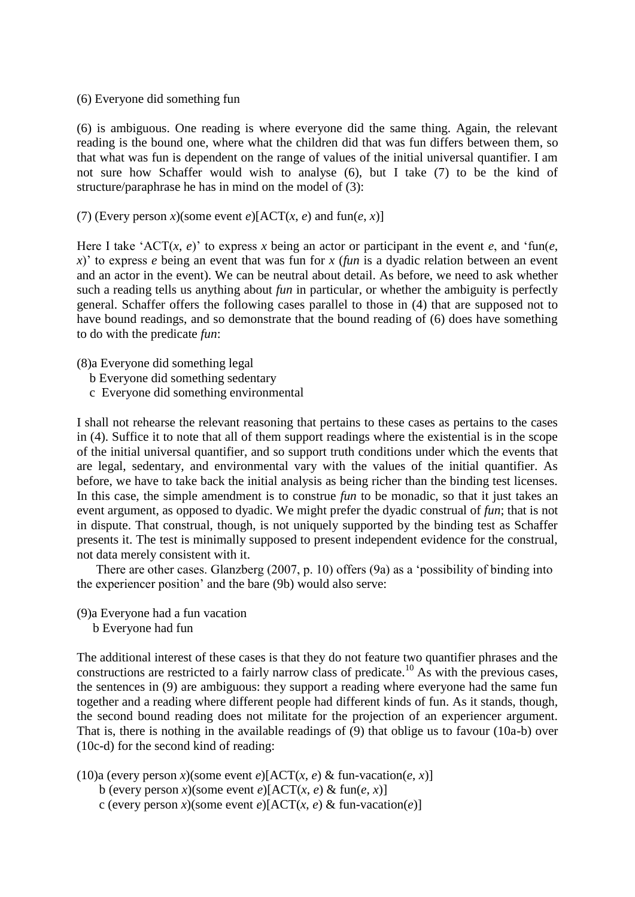(6) Everyone did something fun

(6) is ambiguous. One reading is where everyone did the same thing. Again, the relevant reading is the bound one, where what the children did that was fun differs between them, so that what was fun is dependent on the range of values of the initial universal quantifier. I am not sure how Schaffer would wish to analyse (6), but I take (7) to be the kind of structure/paraphrase he has in mind on the model of (3):

(7) (Every person *x*)(some event *e*)[ACT(*x*, *e*) and fun(*e*, *x*)]

Here I take 'ACT $(x, e)$ ' to express x being an actor or participant in the event  $e$ , and 'fun $(e, e)$ *x*)' to express *e* being an event that was fun for *x* (*fun* is a dyadic relation between an event and an actor in the event). We can be neutral about detail. As before, we need to ask whether such a reading tells us anything about *fun* in particular, or whether the ambiguity is perfectly general. Schaffer offers the following cases parallel to those in (4) that are supposed not to have bound readings, and so demonstrate that the bound reading of (6) does have something to do with the predicate *fun*:

(8)a Everyone did something legal

- b Everyone did something sedentary
- c Everyone did something environmental

I shall not rehearse the relevant reasoning that pertains to these cases as pertains to the cases in (4). Suffice it to note that all of them support readings where the existential is in the scope of the initial universal quantifier, and so support truth conditions under which the events that are legal, sedentary, and environmental vary with the values of the initial quantifier. As before, we have to take back the initial analysis as being richer than the binding test licenses. In this case, the simple amendment is to construe *fun* to be monadic, so that it just takes an event argument, as opposed to dyadic. We might prefer the dyadic construal of *fun*; that is not in dispute. That construal, though, is not uniquely supported by the binding test as Schaffer presents it. The test is minimally supposed to present independent evidence for the construal, not data merely consistent with it.

 There are other cases. Glanzberg (2007, p. 10) offers (9a) as a 'possibility of binding into the experiencer position' and the bare (9b) would also serve:

(9)a Everyone had a fun vacation b Everyone had fun

The additional interest of these cases is that they do not feature two quantifier phrases and the constructions are restricted to a fairly narrow class of predicate.<sup>10</sup> As with the previous cases, the sentences in (9) are ambiguous: they support a reading where everyone had the same fun together and a reading where different people had different kinds of fun. As it stands, though, the second bound reading does not militate for the projection of an experiencer argument. That is, there is nothing in the available readings of (9) that oblige us to favour (10a-b) over (10c-d) for the second kind of reading:

(10)a (every person *x*)(some event *e*)[ACT(*x*, *e*) & fun-vacation(*e*, *x*)]

- b (every person *x*)(some event *e*)[ACT(*x*, *e*) & fun(*e*, *x*)]
- c (every person *x*)(some event *e*)[ACT(*x*, *e*) & fun-vacation(*e*)]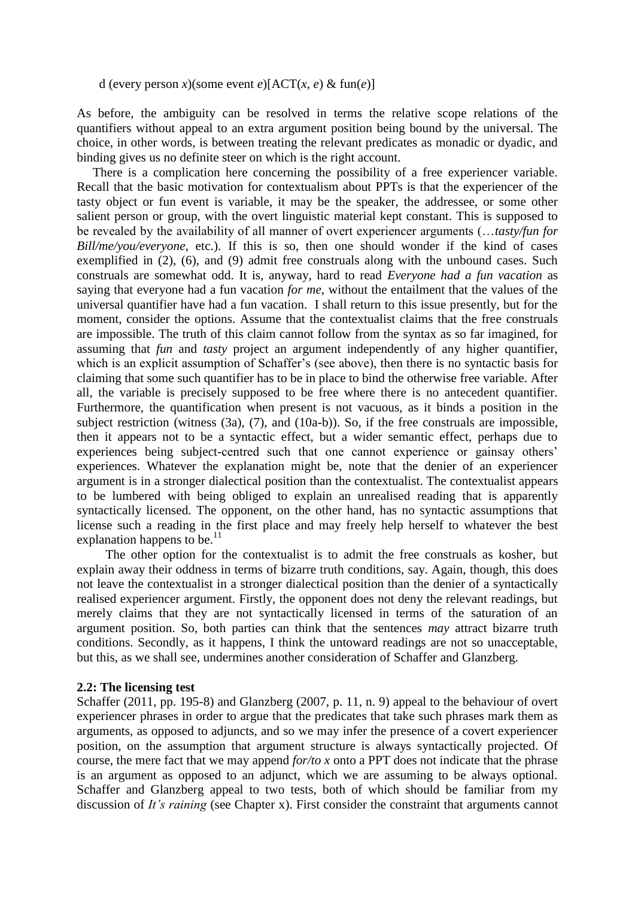d (every person *x*)(some event *e*)[ $ACT(x, e)$  & fun(*e*)]

As before, the ambiguity can be resolved in terms the relative scope relations of the quantifiers without appeal to an extra argument position being bound by the universal. The choice, in other words, is between treating the relevant predicates as monadic or dyadic, and binding gives us no definite steer on which is the right account.

 There is a complication here concerning the possibility of a free experiencer variable. Recall that the basic motivation for contextualism about PPTs is that the experiencer of the tasty object or fun event is variable, it may be the speaker, the addressee, or some other salient person or group, with the overt linguistic material kept constant. This is supposed to be revealed by the availability of all manner of overt experiencer arguments (…*tasty/fun for Bill/me/you/everyone*, etc.). If this is so, then one should wonder if the kind of cases exemplified in (2), (6), and (9) admit free construals along with the unbound cases. Such construals are somewhat odd. It is, anyway, hard to read *Everyone had a fun vacation* as saying that everyone had a fun vacation *for me*, without the entailment that the values of the universal quantifier have had a fun vacation. I shall return to this issue presently, but for the moment, consider the options. Assume that the contextualist claims that the free construals are impossible. The truth of this claim cannot follow from the syntax as so far imagined, for assuming that *fun* and *tasty* project an argument independently of any higher quantifier, which is an explicit assumption of Schaffer's (see above), then there is no syntactic basis for claiming that some such quantifier has to be in place to bind the otherwise free variable. After all, the variable is precisely supposed to be free where there is no antecedent quantifier. Furthermore, the quantification when present is not vacuous, as it binds a position in the subject restriction (witness (3a), (7), and (10a-b)). So, if the free construals are impossible, then it appears not to be a syntactic effect, but a wider semantic effect, perhaps due to experiences being subject-centred such that one cannot experience or gainsay others' experiences. Whatever the explanation might be, note that the denier of an experiencer argument is in a stronger dialectical position than the contextualist. The contextualist appears to be lumbered with being obliged to explain an unrealised reading that is apparently syntactically licensed. The opponent, on the other hand, has no syntactic assumptions that license such a reading in the first place and may freely help herself to whatever the best explanation happens to be. $^{11}$ 

 The other option for the contextualist is to admit the free construals as kosher, but explain away their oddness in terms of bizarre truth conditions, say. Again, though, this does not leave the contextualist in a stronger dialectical position than the denier of a syntactically realised experiencer argument. Firstly, the opponent does not deny the relevant readings, but merely claims that they are not syntactically licensed in terms of the saturation of an argument position. So, both parties can think that the sentences *may* attract bizarre truth conditions. Secondly, as it happens, I think the untoward readings are not so unacceptable, but this, as we shall see, undermines another consideration of Schaffer and Glanzberg.

### **2.2: The licensing test**

Schaffer (2011, pp. 195-8) and Glanzberg (2007, p. 11, n. 9) appeal to the behaviour of overt experiencer phrases in order to argue that the predicates that take such phrases mark them as arguments, as opposed to adjuncts, and so we may infer the presence of a covert experiencer position, on the assumption that argument structure is always syntactically projected. Of course, the mere fact that we may append *for/to x* onto a PPT does not indicate that the phrase is an argument as opposed to an adjunct, which we are assuming to be always optional. Schaffer and Glanzberg appeal to two tests, both of which should be familiar from my discussion of *It's raining* (see Chapter x). First consider the constraint that arguments cannot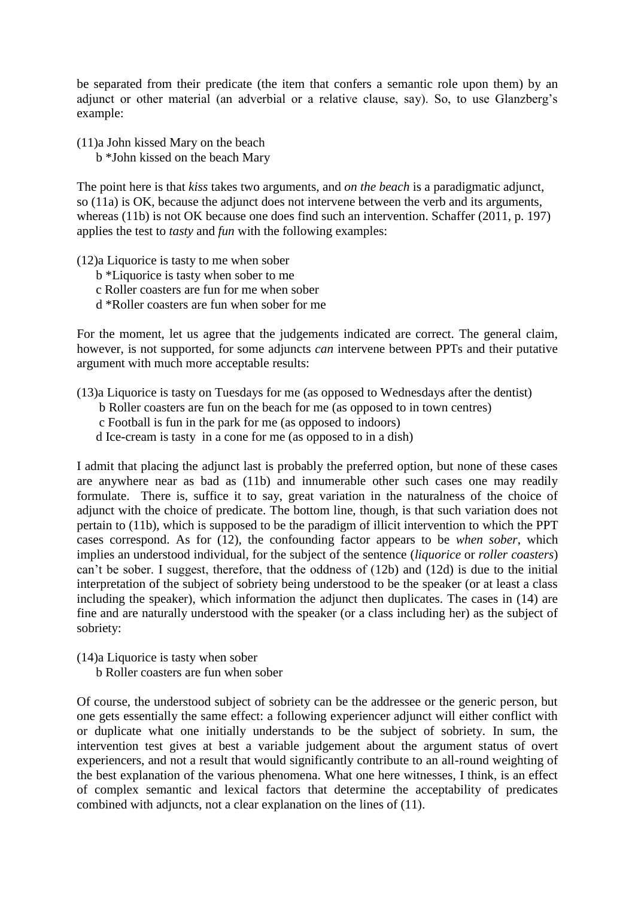be separated from their predicate (the item that confers a semantic role upon them) by an adjunct or other material (an adverbial or a relative clause, say). So, to use Glanzberg's example:

(11)a John kissed Mary on the beach

b \*John kissed on the beach Mary

The point here is that *kiss* takes two arguments, and *on the beach* is a paradigmatic adjunct, so (11a) is OK, because the adjunct does not intervene between the verb and its arguments, whereas (11b) is not OK because one does find such an intervention. Schaffer (2011, p. 197) applies the test to *tasty* and *fun* with the following examples:

(12)a Liquorice is tasty to me when sober

- b \*Liquorice is tasty when sober to me
- c Roller coasters are fun for me when sober
- d \*Roller coasters are fun when sober for me

For the moment, let us agree that the judgements indicated are correct. The general claim, however, is not supported, for some adjuncts *can* intervene between PPTs and their putative argument with much more acceptable results:

(13)a Liquorice is tasty on Tuesdays for me (as opposed to Wednesdays after the dentist)

b Roller coasters are fun on the beach for me (as opposed to in town centres)

c Football is fun in the park for me (as opposed to indoors)

d Ice-cream is tasty in a cone for me (as opposed to in a dish)

I admit that placing the adjunct last is probably the preferred option, but none of these cases are anywhere near as bad as (11b) and innumerable other such cases one may readily formulate. There is, suffice it to say, great variation in the naturalness of the choice of adjunct with the choice of predicate. The bottom line, though, is that such variation does not pertain to (11b), which is supposed to be the paradigm of illicit intervention to which the PPT cases correspond. As for (12), the confounding factor appears to be *when sober*, which implies an understood individual, for the subject of the sentence (*liquorice* or *roller coasters*) can't be sober. I suggest, therefore, that the oddness of (12b) and (12d) is due to the initial interpretation of the subject of sobriety being understood to be the speaker (or at least a class including the speaker), which information the adjunct then duplicates. The cases in (14) are fine and are naturally understood with the speaker (or a class including her) as the subject of sobriety:

(14)a Liquorice is tasty when sober

b Roller coasters are fun when sober

Of course, the understood subject of sobriety can be the addressee or the generic person, but one gets essentially the same effect: a following experiencer adjunct will either conflict with or duplicate what one initially understands to be the subject of sobriety. In sum, the intervention test gives at best a variable judgement about the argument status of overt experiencers, and not a result that would significantly contribute to an all-round weighting of the best explanation of the various phenomena. What one here witnesses, I think, is an effect of complex semantic and lexical factors that determine the acceptability of predicates combined with adjuncts, not a clear explanation on the lines of (11).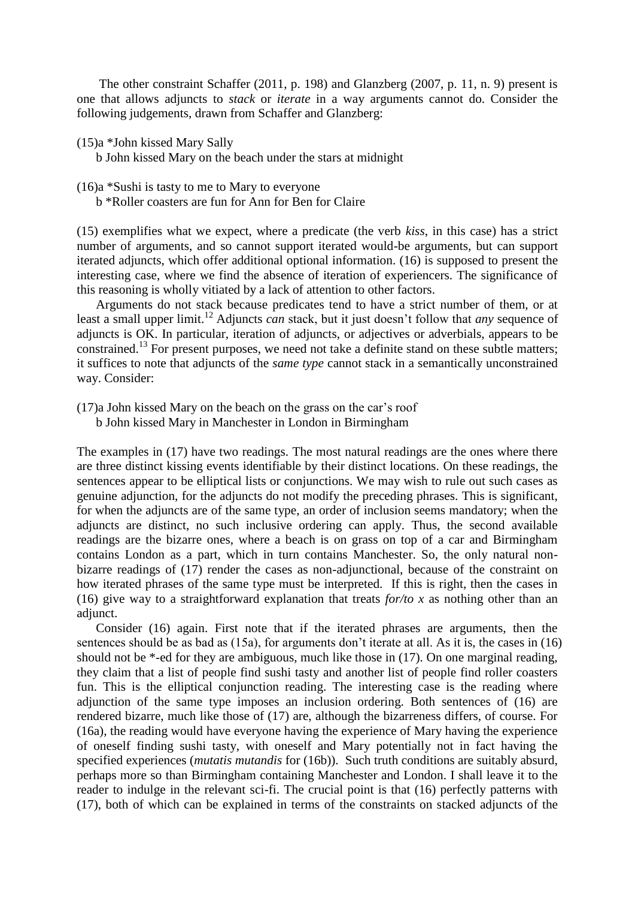The other constraint Schaffer (2011, p. 198) and Glanzberg (2007, p. 11, n. 9) present is one that allows adjuncts to *stack* or *iterate* in a way arguments cannot do. Consider the following judgements, drawn from Schaffer and Glanzberg:

(15)a \*John kissed Mary Sally

b John kissed Mary on the beach under the stars at midnight

- (16)a \*Sushi is tasty to me to Mary to everyone
	- b \*Roller coasters are fun for Ann for Ben for Claire

(15) exemplifies what we expect, where a predicate (the verb *kiss*, in this case) has a strict number of arguments, and so cannot support iterated would-be arguments, but can support iterated adjuncts, which offer additional optional information. (16) is supposed to present the interesting case, where we find the absence of iteration of experiencers. The significance of this reasoning is wholly vitiated by a lack of attention to other factors.

 Arguments do not stack because predicates tend to have a strict number of them, or at least a small upper limit.<sup>12</sup> Adjuncts *can* stack, but it just doesn't follow that *any* sequence of adjuncts is OK. In particular, iteration of adjuncts, or adjectives or adverbials, appears to be constrained.<sup>13</sup> For present purposes, we need not take a definite stand on these subtle matters; it suffices to note that adjuncts of the *same type* cannot stack in a semantically unconstrained way. Consider:

- (17)a John kissed Mary on the beach on the grass on the car's roof
	- b John kissed Mary in Manchester in London in Birmingham

The examples in (17) have two readings. The most natural readings are the ones where there are three distinct kissing events identifiable by their distinct locations. On these readings, the sentences appear to be elliptical lists or conjunctions. We may wish to rule out such cases as genuine adjunction, for the adjuncts do not modify the preceding phrases. This is significant, for when the adjuncts are of the same type, an order of inclusion seems mandatory; when the adjuncts are distinct, no such inclusive ordering can apply. Thus, the second available readings are the bizarre ones, where a beach is on grass on top of a car and Birmingham contains London as a part, which in turn contains Manchester. So, the only natural nonbizarre readings of (17) render the cases as non-adjunctional, because of the constraint on how iterated phrases of the same type must be interpreted. If this is right, then the cases in (16) give way to a straightforward explanation that treats *for/to x* as nothing other than an adjunct.

 Consider (16) again. First note that if the iterated phrases are arguments, then the sentences should be as bad as (15a), for arguments don't iterate at all. As it is, the cases in (16) should not be \*-ed for they are ambiguous, much like those in (17). On one marginal reading, they claim that a list of people find sushi tasty and another list of people find roller coasters fun. This is the elliptical conjunction reading. The interesting case is the reading where adjunction of the same type imposes an inclusion ordering. Both sentences of (16) are rendered bizarre, much like those of (17) are, although the bizarreness differs, of course. For (16a), the reading would have everyone having the experience of Mary having the experience of oneself finding sushi tasty, with oneself and Mary potentially not in fact having the specified experiences (*mutatis mutandis* for (16b)). Such truth conditions are suitably absurd, perhaps more so than Birmingham containing Manchester and London. I shall leave it to the reader to indulge in the relevant sci-fi. The crucial point is that (16) perfectly patterns with (17), both of which can be explained in terms of the constraints on stacked adjuncts of the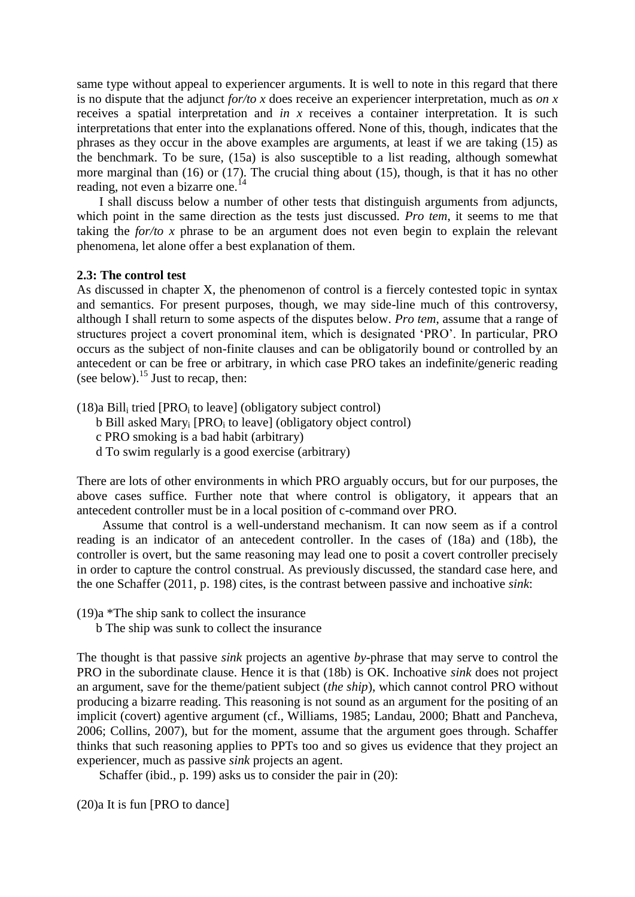same type without appeal to experiencer arguments. It is well to note in this regard that there is no dispute that the adjunct *for/to x* does receive an experiencer interpretation, much as *on x* receives a spatial interpretation and *in x* receives a container interpretation. It is such interpretations that enter into the explanations offered. None of this, though, indicates that the phrases as they occur in the above examples are arguments, at least if we are taking (15) as the benchmark. To be sure, (15a) is also susceptible to a list reading, although somewhat more marginal than (16) or (17). The crucial thing about (15), though, is that it has no other reading, not even a bizarre one.<sup>14</sup>

 I shall discuss below a number of other tests that distinguish arguments from adjuncts, which point in the same direction as the tests just discussed. *Pro tem*, it seems to me that taking the *for/to x* phrase to be an argument does not even begin to explain the relevant phenomena, let alone offer a best explanation of them.

### **2.3: The control test**

As discussed in chapter X, the phenomenon of control is a fiercely contested topic in syntax and semantics. For present purposes, though, we may side-line much of this controversy, although I shall return to some aspects of the disputes below. *Pro tem*, assume that a range of structures project a covert pronominal item, which is designated 'PRO'. In particular, PRO occurs as the subject of non-finite clauses and can be obligatorily bound or controlled by an antecedent or can be free or arbitrary, in which case PRO takes an indefinite/generic reading (see below).<sup>15</sup> Just to recap, then:

 $(18)$ a Bill<sub>i</sub> tried [PRO<sub>i</sub> to leave] (obligatory subject control)

- $b$  Bill asked Mary<sub>i</sub> [PRO<sub>i</sub> to leave] (obligatory object control)
- c PRO smoking is a bad habit (arbitrary)
- d To swim regularly is a good exercise (arbitrary)

There are lots of other environments in which PRO arguably occurs, but for our purposes, the above cases suffice. Further note that where control is obligatory, it appears that an antecedent controller must be in a local position of c-command over PRO.

 Assume that control is a well-understand mechanism. It can now seem as if a control reading is an indicator of an antecedent controller. In the cases of (18a) and (18b), the controller is overt, but the same reasoning may lead one to posit a covert controller precisely in order to capture the control construal. As previously discussed, the standard case here, and the one Schaffer (2011, p. 198) cites, is the contrast between passive and inchoative *sink*:

(19)a \*The ship sank to collect the insurance

b The ship was sunk to collect the insurance

The thought is that passive *sink* projects an agentive *by*-phrase that may serve to control the PRO in the subordinate clause. Hence it is that (18b) is OK. Inchoative *sink* does not project an argument, save for the theme/patient subject (*the ship*), which cannot control PRO without producing a bizarre reading. This reasoning is not sound as an argument for the positing of an implicit (covert) agentive argument (cf., Williams, 1985; Landau, 2000; Bhatt and Pancheva, 2006; Collins, 2007), but for the moment, assume that the argument goes through. Schaffer thinks that such reasoning applies to PPTs too and so gives us evidence that they project an experiencer, much as passive *sink* projects an agent.

Schaffer (ibid., p. 199) asks us to consider the pair in (20):

(20)a It is fun [PRO to dance]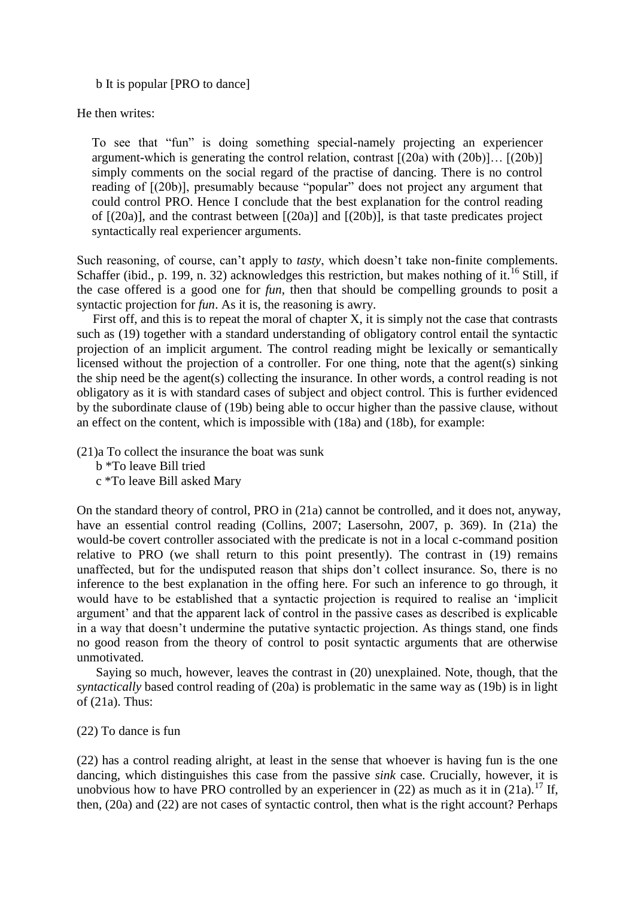b It is popular [PRO to dance]

He then writes:

To see that "fun" is doing something special-namely projecting an experiencer argument-which is generating the control relation, contrast  $[(20a)$  with  $(20b)]\dots$   $[(20b)]$ simply comments on the social regard of the practise of dancing. There is no control reading of [(20b)], presumably because "popular" does not project any argument that could control PRO. Hence I conclude that the best explanation for the control reading of [(20a)], and the contrast between [(20a)] and [(20b)], is that taste predicates project syntactically real experiencer arguments.

Such reasoning, of course, can't apply to *tasty*, which doesn't take non-finite complements. Schaffer (ibid., p. 199, n. 32) acknowledges this restriction, but makes nothing of it.<sup>16</sup> Still, if the case offered is a good one for *fun*, then that should be compelling grounds to posit a syntactic projection for *fun*. As it is, the reasoning is awry.

First off, and this is to repeat the moral of chapter  $X$ , it is simply not the case that contrasts such as (19) together with a standard understanding of obligatory control entail the syntactic projection of an implicit argument. The control reading might be lexically or semantically licensed without the projection of a controller. For one thing, note that the agent(s) sinking the ship need be the agent(s) collecting the insurance. In other words, a control reading is not obligatory as it is with standard cases of subject and object control. This is further evidenced by the subordinate clause of (19b) being able to occur higher than the passive clause, without an effect on the content, which is impossible with (18a) and (18b), for example:

(21)a To collect the insurance the boat was sunk

b \*To leave Bill tried

c \*To leave Bill asked Mary

On the standard theory of control, PRO in (21a) cannot be controlled, and it does not, anyway, have an essential control reading (Collins, 2007; Lasersohn, 2007, p. 369). In (21a) the would-be covert controller associated with the predicate is not in a local c-command position relative to PRO (we shall return to this point presently). The contrast in (19) remains unaffected, but for the undisputed reason that ships don't collect insurance. So, there is no inference to the best explanation in the offing here. For such an inference to go through, it would have to be established that a syntactic projection is required to realise an 'implicit argument' and that the apparent lack of control in the passive cases as described is explicable in a way that doesn't undermine the putative syntactic projection. As things stand, one finds no good reason from the theory of control to posit syntactic arguments that are otherwise unmotivated.

 Saying so much, however, leaves the contrast in (20) unexplained. Note, though, that the *syntactically* based control reading of (20a) is problematic in the same way as (19b) is in light of (21a). Thus:

(22) To dance is fun

(22) has a control reading alright, at least in the sense that whoever is having fun is the one dancing, which distinguishes this case from the passive *sink* case. Crucially, however, it is unobvious how to have PRO controlled by an experiencer in (22) as much as it in (21a).<sup>17</sup> If, then, (20a) and (22) are not cases of syntactic control, then what is the right account? Perhaps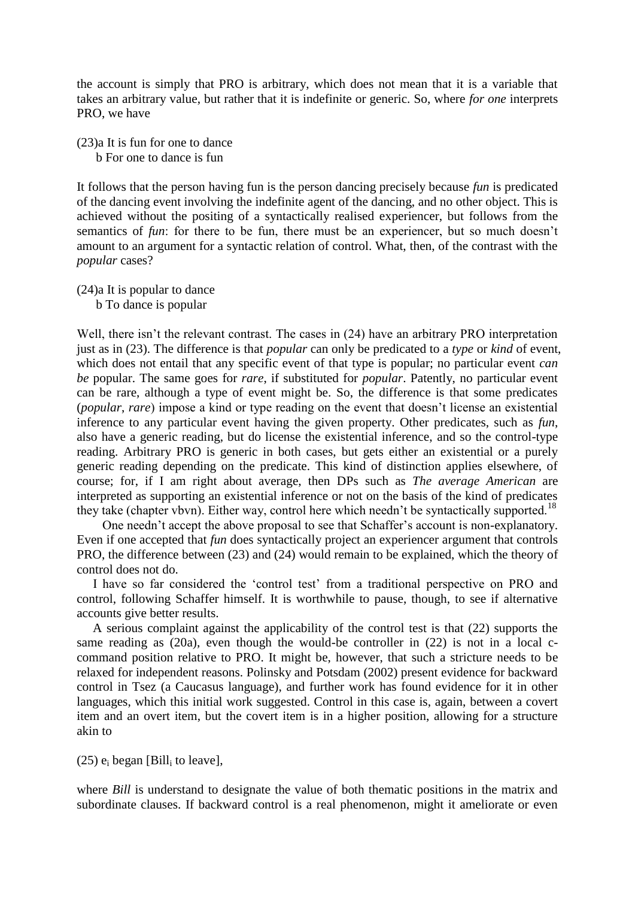the account is simply that PRO is arbitrary, which does not mean that it is a variable that takes an arbitrary value, but rather that it is indefinite or generic. So, where *for one* interprets PRO, we have

(23)a It is fun for one to dance

b For one to dance is fun

It follows that the person having fun is the person dancing precisely because *fun* is predicated of the dancing event involving the indefinite agent of the dancing, and no other object. This is achieved without the positing of a syntactically realised experiencer, but follows from the semantics of *fun*: for there to be fun, there must be an experiencer, but so much doesn't amount to an argument for a syntactic relation of control. What, then, of the contrast with the *popular* cases?

(24)a It is popular to dance

b To dance is popular

Well, there isn't the relevant contrast. The cases in (24) have an arbitrary PRO interpretation just as in (23). The difference is that *popular* can only be predicated to a *type* or *kind* of event, which does not entail that any specific event of that type is popular; no particular event *can be* popular. The same goes for *rare*, if substituted for *popular*. Patently, no particular event can be rare, although a type of event might be. So, the difference is that some predicates (*popular*, *rare*) impose a kind or type reading on the event that doesn't license an existential inference to any particular event having the given property. Other predicates, such as *fun*, also have a generic reading, but do license the existential inference, and so the control-type reading. Arbitrary PRO is generic in both cases, but gets either an existential or a purely generic reading depending on the predicate. This kind of distinction applies elsewhere, of course; for, if I am right about average, then DPs such as *The average American* are interpreted as supporting an existential inference or not on the basis of the kind of predicates they take (chapter vbvn). Either way, control here which needn't be syntactically supported.<sup>18</sup>

 One needn't accept the above proposal to see that Schaffer's account is non-explanatory. Even if one accepted that *fun* does syntactically project an experiencer argument that controls PRO, the difference between (23) and (24) would remain to be explained, which the theory of control does not do.

 I have so far considered the 'control test' from a traditional perspective on PRO and control, following Schaffer himself. It is worthwhile to pause, though, to see if alternative accounts give better results.

 A serious complaint against the applicability of the control test is that (22) supports the same reading as (20a), even though the would-be controller in (22) is not in a local ccommand position relative to PRO. It might be, however, that such a stricture needs to be relaxed for independent reasons. Polinsky and Potsdam (2002) present evidence for backward control in Tsez (a Caucasus language), and further work has found evidence for it in other languages, which this initial work suggested. Control in this case is, again, between a covert item and an overt item, but the covert item is in a higher position, allowing for a structure akin to

 $(25)$  e<sub>i</sub> began [Bill<sub>i</sub> to leave],

where *Bill* is understand to designate the value of both thematic positions in the matrix and subordinate clauses. If backward control is a real phenomenon, might it ameliorate or even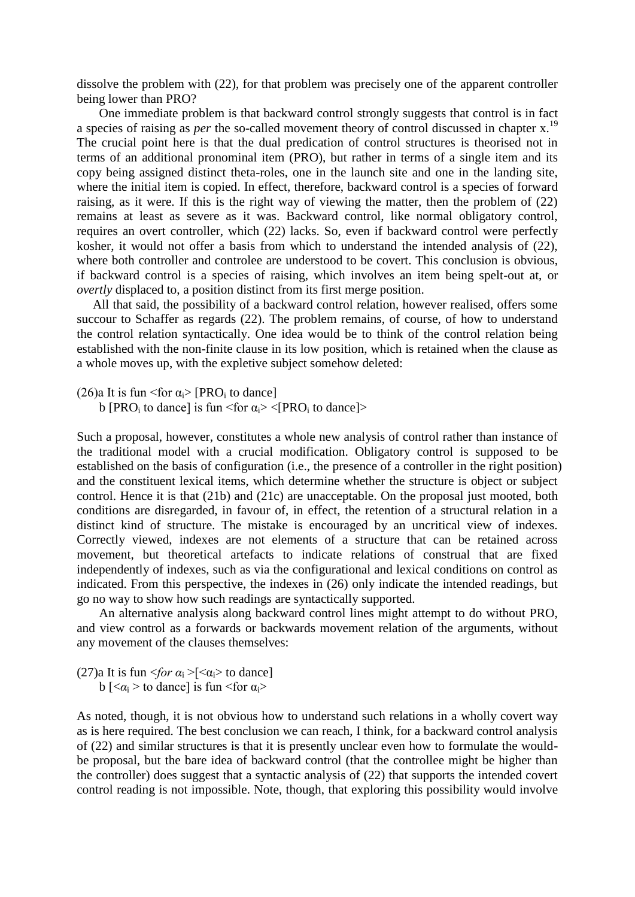dissolve the problem with (22), for that problem was precisely one of the apparent controller being lower than PRO?

 One immediate problem is that backward control strongly suggests that control is in fact a species of raising as *per* the so-called movement theory of control discussed in chapter x.<sup>19</sup> The crucial point here is that the dual predication of control structures is theorised not in terms of an additional pronominal item (PRO), but rather in terms of a single item and its copy being assigned distinct theta-roles, one in the launch site and one in the landing site, where the initial item is copied. In effect, therefore, backward control is a species of forward raising, as it were. If this is the right way of viewing the matter, then the problem of (22) remains at least as severe as it was. Backward control, like normal obligatory control, requires an overt controller, which (22) lacks. So, even if backward control were perfectly kosher, it would not offer a basis from which to understand the intended analysis of (22), where both controller and controlee are understood to be covert. This conclusion is obvious, if backward control is a species of raising, which involves an item being spelt-out at, or *overtly* displaced to, a position distinct from its first merge position.

 All that said, the possibility of a backward control relation, however realised, offers some succour to Schaffer as regards (22). The problem remains, of course, of how to understand the control relation syntactically. One idea would be to think of the control relation being established with the non-finite clause in its low position, which is retained when the clause as a whole moves up, with the expletive subject somehow deleted:

(26)a It is fun <for  $\alpha_i$ > [PRO<sub>i</sub> to dance]

b [PRO<sub>i</sub> to dance] is fun <for  $\alpha_i$ > <[PRO<sub>i</sub> to dance]>

Such a proposal, however, constitutes a whole new analysis of control rather than instance of the traditional model with a crucial modification. Obligatory control is supposed to be established on the basis of configuration (i.e., the presence of a controller in the right position) and the constituent lexical items, which determine whether the structure is object or subject control. Hence it is that (21b) and (21c) are unacceptable. On the proposal just mooted, both conditions are disregarded, in favour of, in effect, the retention of a structural relation in a distinct kind of structure. The mistake is encouraged by an uncritical view of indexes. Correctly viewed, indexes are not elements of a structure that can be retained across movement, but theoretical artefacts to indicate relations of construal that are fixed independently of indexes, such as via the configurational and lexical conditions on control as indicated. From this perspective, the indexes in (26) only indicate the intended readings, but go no way to show how such readings are syntactically supported.

 An alternative analysis along backward control lines might attempt to do without PRO, and view control as a forwards or backwards movement relation of the arguments, without any movement of the clauses themselves:

(27)a It is fun  $\langle \frac{\partial r}{\partial t} \rangle$  =  $\langle \alpha_i \rangle$  to dance] b  $\lfloor < \alpha_i >$  to dance] is fun  $\leq$  for  $\alpha_i >$ 

As noted, though, it is not obvious how to understand such relations in a wholly covert way as is here required. The best conclusion we can reach, I think, for a backward control analysis of (22) and similar structures is that it is presently unclear even how to formulate the wouldbe proposal, but the bare idea of backward control (that the controllee might be higher than the controller) does suggest that a syntactic analysis of (22) that supports the intended covert control reading is not impossible. Note, though, that exploring this possibility would involve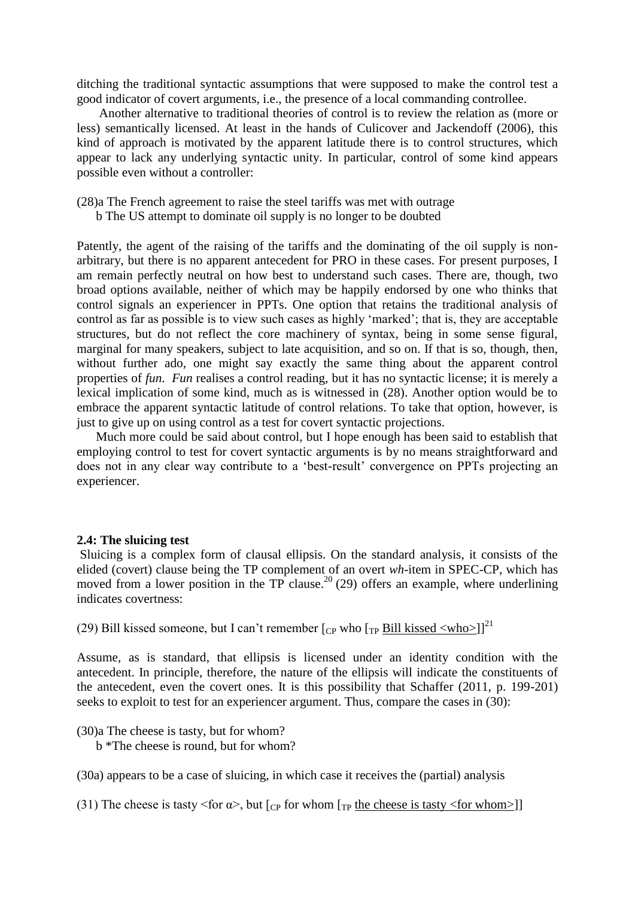ditching the traditional syntactic assumptions that were supposed to make the control test a good indicator of covert arguments, i.e., the presence of a local commanding controllee.

 Another alternative to traditional theories of control is to review the relation as (more or less) semantically licensed. At least in the hands of Culicover and Jackendoff (2006), this kind of approach is motivated by the apparent latitude there is to control structures, which appear to lack any underlying syntactic unity. In particular, control of some kind appears possible even without a controller:

(28)a The French agreement to raise the steel tariffs was met with outrage

b The US attempt to dominate oil supply is no longer to be doubted

Patently, the agent of the raising of the tariffs and the dominating of the oil supply is nonarbitrary, but there is no apparent antecedent for PRO in these cases. For present purposes, I am remain perfectly neutral on how best to understand such cases. There are, though, two broad options available, neither of which may be happily endorsed by one who thinks that control signals an experiencer in PPTs. One option that retains the traditional analysis of control as far as possible is to view such cases as highly 'marked'; that is, they are acceptable structures, but do not reflect the core machinery of syntax, being in some sense figural, marginal for many speakers, subject to late acquisition, and so on. If that is so, though, then, without further ado, one might say exactly the same thing about the apparent control properties of *fun*. *Fun* realises a control reading, but it has no syntactic license; it is merely a lexical implication of some kind, much as is witnessed in (28). Another option would be to embrace the apparent syntactic latitude of control relations. To take that option, however, is just to give up on using control as a test for covert syntactic projections.

 Much more could be said about control, but I hope enough has been said to establish that employing control to test for covert syntactic arguments is by no means straightforward and does not in any clear way contribute to a 'best-result' convergence on PPTs projecting an experiencer.

### **2.4: The sluicing test**

Sluicing is a complex form of clausal ellipsis. On the standard analysis, it consists of the elided (covert) clause being the TP complement of an overt *wh*-item in SPEC-CP, which has moved from a lower position in the TP clause.<sup>20</sup> (29) offers an example, where underlining indicates covertness:

(29) Bill kissed someone, but I can't remember  $\lceil_{CP}$  who  $\lceil_{TP}$  Bill kissed  $\langle$ who $\rangle$ ]<sup>21</sup>

Assume, as is standard, that ellipsis is licensed under an identity condition with the antecedent. In principle, therefore, the nature of the ellipsis will indicate the constituents of the antecedent, even the covert ones. It is this possibility that Schaffer (2011, p. 199-201) seeks to exploit to test for an experiencer argument. Thus, compare the cases in (30):

(30)a The cheese is tasty, but for whom?

b \*The cheese is round, but for whom?

(30a) appears to be a case of sluicing, in which case it receives the (partial) analysis

(31) The cheese is tasty  $\leq$  for  $\alpha$ >, but [<sub>CP</sub> for whom [<sub>TP</sub> the cheese is tasty  $\leq$  for whom>]]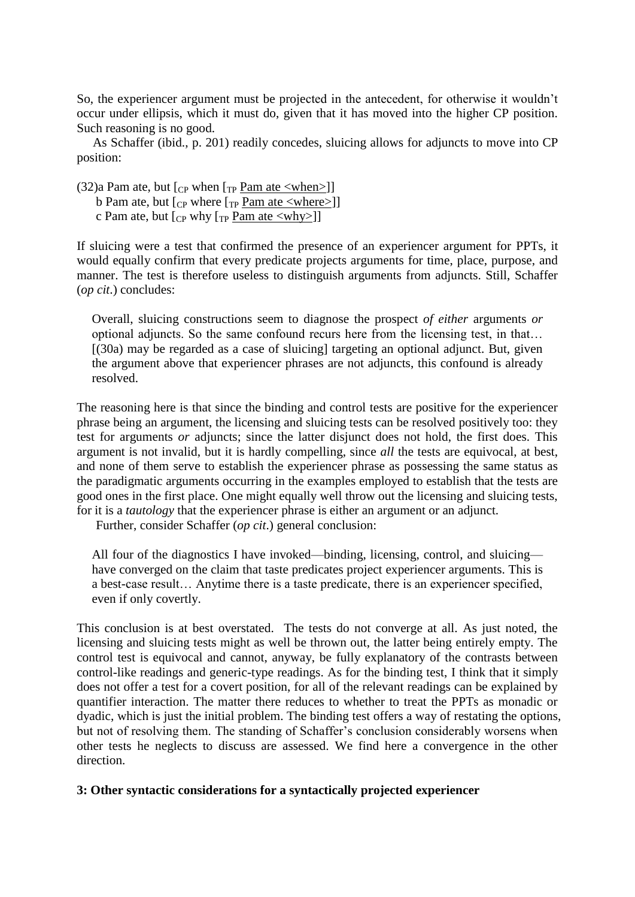So, the experiencer argument must be projected in the antecedent, for otherwise it wouldn't occur under ellipsis, which it must do, given that it has moved into the higher CP position. Such reasoning is no good.

 As Schaffer (ibid., p. 201) readily concedes, sluicing allows for adjuncts to move into CP position:

 $(32)a$  Pam ate, but  $\lceil_{CP}$  when  $\lceil_{TP}$  Pam ate  $\langle$  when $\rangle$ ]

b Pam ate, but  $\lbrack_{\text{CP}}$  where  $\lbrack_{\text{TP}}$  Pam ate <where>]]

c Pam ate, but  $\lceil$ <sub>CP</sub> why  $\lceil$ <sub>TP</sub> Pam ate <why> $\rceil$ ]

If sluicing were a test that confirmed the presence of an experiencer argument for PPTs, it would equally confirm that every predicate projects arguments for time, place, purpose, and manner. The test is therefore useless to distinguish arguments from adjuncts. Still, Schaffer (*op cit*.) concludes:

Overall, sluicing constructions seem to diagnose the prospect *of either* arguments *or* optional adjuncts. So the same confound recurs here from the licensing test, in that…  $(30a)$  may be regarded as a case of sluicing targeting an optional adjunct. But, given the argument above that experiencer phrases are not adjuncts, this confound is already resolved.

The reasoning here is that since the binding and control tests are positive for the experiencer phrase being an argument, the licensing and sluicing tests can be resolved positively too: they test for arguments *or* adjuncts; since the latter disjunct does not hold, the first does. This argument is not invalid, but it is hardly compelling, since *all* the tests are equivocal, at best, and none of them serve to establish the experiencer phrase as possessing the same status as the paradigmatic arguments occurring in the examples employed to establish that the tests are good ones in the first place. One might equally well throw out the licensing and sluicing tests, for it is a *tautology* that the experiencer phrase is either an argument or an adjunct.

Further, consider Schaffer (*op cit*.) general conclusion:

All four of the diagnostics I have invoked—binding, licensing, control, and sluicing have converged on the claim that taste predicates project experiencer arguments. This is a best-case result… Anytime there is a taste predicate, there is an experiencer specified, even if only covertly.

This conclusion is at best overstated. The tests do not converge at all. As just noted, the licensing and sluicing tests might as well be thrown out, the latter being entirely empty. The control test is equivocal and cannot, anyway, be fully explanatory of the contrasts between control-like readings and generic-type readings. As for the binding test, I think that it simply does not offer a test for a covert position, for all of the relevant readings can be explained by quantifier interaction. The matter there reduces to whether to treat the PPTs as monadic or dyadic, which is just the initial problem. The binding test offers a way of restating the options, but not of resolving them. The standing of Schaffer's conclusion considerably worsens when other tests he neglects to discuss are assessed. We find here a convergence in the other direction.

# **3: Other syntactic considerations for a syntactically projected experiencer**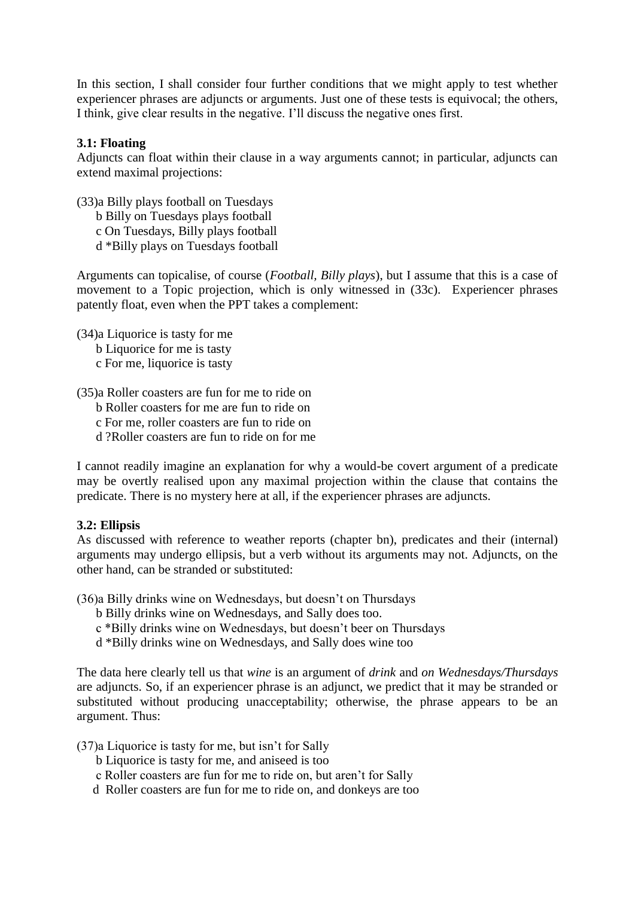In this section, I shall consider four further conditions that we might apply to test whether experiencer phrases are adjuncts or arguments. Just one of these tests is equivocal; the others, I think, give clear results in the negative. I'll discuss the negative ones first.

# **3.1: Floating**

Adjuncts can float within their clause in a way arguments cannot; in particular, adjuncts can extend maximal projections:

(33)a Billy plays football on Tuesdays b Billy on Tuesdays plays football c On Tuesdays, Billy plays football

d \*Billy plays on Tuesdays football

Arguments can topicalise, of course (*Football, Billy plays*), but I assume that this is a case of movement to a Topic projection, which is only witnessed in (33c). Experiencer phrases patently float, even when the PPT takes a complement:

(34)a Liquorice is tasty for me

- b Liquorice for me is tasty
- c For me, liquorice is tasty

(35)a Roller coasters are fun for me to ride on

- b Roller coasters for me are fun to ride on
- c For me, roller coasters are fun to ride on
- d ?Roller coasters are fun to ride on for me

I cannot readily imagine an explanation for why a would-be covert argument of a predicate may be overtly realised upon any maximal projection within the clause that contains the predicate. There is no mystery here at all, if the experiencer phrases are adjuncts.

## **3.2: Ellipsis**

As discussed with reference to weather reports (chapter bn), predicates and their (internal) arguments may undergo ellipsis, but a verb without its arguments may not. Adjuncts, on the other hand, can be stranded or substituted:

(36)a Billy drinks wine on Wednesdays, but doesn't on Thursdays

- b Billy drinks wine on Wednesdays, and Sally does too.
- c \*Billy drinks wine on Wednesdays, but doesn't beer on Thursdays
- d \*Billy drinks wine on Wednesdays, and Sally does wine too

The data here clearly tell us that *wine* is an argument of *drink* and *on Wednesdays/Thursdays* are adjuncts. So, if an experiencer phrase is an adjunct, we predict that it may be stranded or substituted without producing unacceptability; otherwise, the phrase appears to be an argument. Thus:

- (37)a Liquorice is tasty for me, but isn't for Sally
	- b Liquorice is tasty for me, and aniseed is too
	- c Roller coasters are fun for me to ride on, but aren't for Sally
	- d Roller coasters are fun for me to ride on, and donkeys are too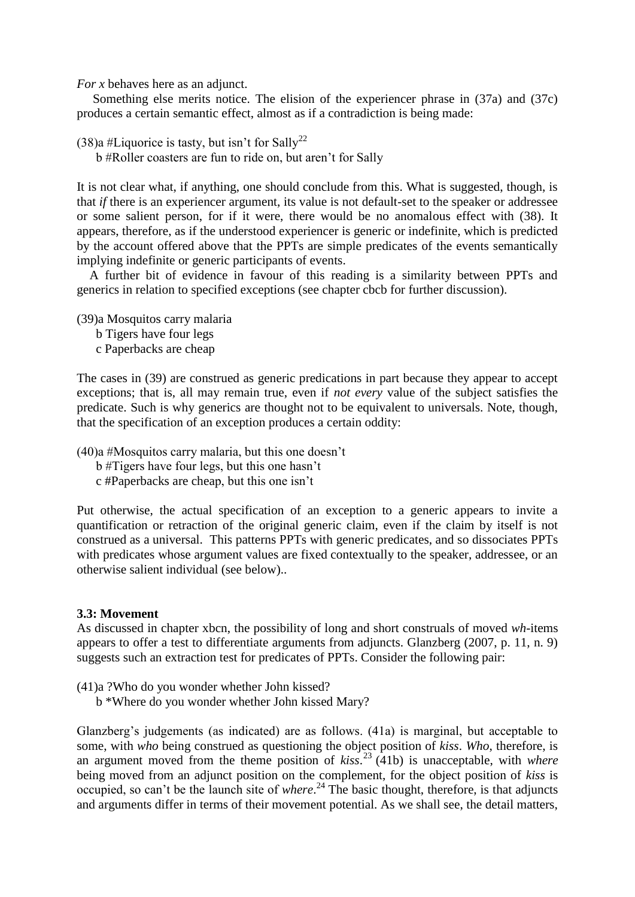*For x* behaves here as an adjunct.

 Something else merits notice. The elision of the experiencer phrase in (37a) and (37c) produces a certain semantic effect, almost as if a contradiction is being made:

(38)a #Liquorice is tasty, but isn't for Sally<sup>22</sup>

b #Roller coasters are fun to ride on, but aren't for Sally

It is not clear what, if anything, one should conclude from this. What is suggested, though, is that *if* there is an experiencer argument, its value is not default-set to the speaker or addressee or some salient person, for if it were, there would be no anomalous effect with (38). It appears, therefore, as if the understood experiencer is generic or indefinite, which is predicted by the account offered above that the PPTs are simple predicates of the events semantically implying indefinite or generic participants of events.

 A further bit of evidence in favour of this reading is a similarity between PPTs and generics in relation to specified exceptions (see chapter cbcb for further discussion).

(39)a Mosquitos carry malaria

- b Tigers have four legs
- c Paperbacks are cheap

The cases in (39) are construed as generic predications in part because they appear to accept exceptions; that is, all may remain true, even if *not every* value of the subject satisfies the predicate. Such is why generics are thought not to be equivalent to universals. Note, though, that the specification of an exception produces a certain oddity:

(40)a #Mosquitos carry malaria, but this one doesn't

b #Tigers have four legs, but this one hasn't

c #Paperbacks are cheap, but this one isn't

Put otherwise, the actual specification of an exception to a generic appears to invite a quantification or retraction of the original generic claim, even if the claim by itself is not construed as a universal. This patterns PPTs with generic predicates, and so dissociates PPTs with predicates whose argument values are fixed contextually to the speaker, addressee, or an otherwise salient individual (see below)..

### **3.3: Movement**

As discussed in chapter xbcn, the possibility of long and short construals of moved *wh*-items appears to offer a test to differentiate arguments from adjuncts. Glanzberg (2007, p. 11, n. 9) suggests such an extraction test for predicates of PPTs. Consider the following pair:

- (41)a ?Who do you wonder whether John kissed?
	- b \*Where do you wonder whether John kissed Mary?

Glanzberg's judgements (as indicated) are as follows. (41a) is marginal, but acceptable to some, with *who* being construed as questioning the object position of *kiss*. *Who*, therefore, is an argument moved from the theme position of *kiss*. <sup>23</sup> (41b) is unacceptable, with *where* being moved from an adjunct position on the complement, for the object position of *kiss* is occupied, so can't be the launch site of *where*. <sup>24</sup> The basic thought, therefore, is that adjuncts and arguments differ in terms of their movement potential. As we shall see, the detail matters,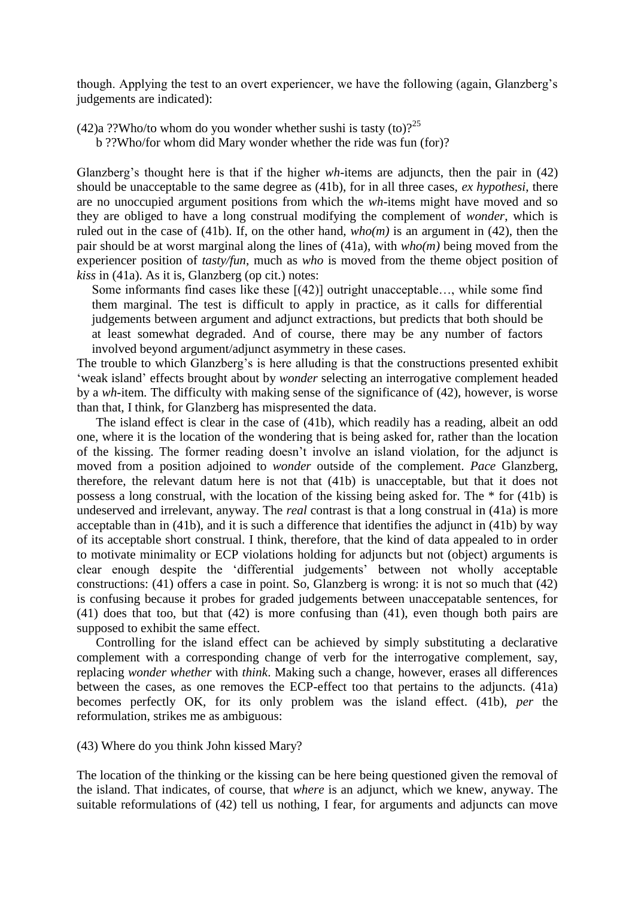though. Applying the test to an overt experiencer, we have the following (again, Glanzberg's judgements are indicated):

(42)a ??Who/to whom do you wonder whether sushi is tasty (to)?<sup>25</sup>

b ??Who/for whom did Mary wonder whether the ride was fun (for)?

Glanzberg's thought here is that if the higher *wh*-items are adjuncts, then the pair in (42) should be unacceptable to the same degree as (41b), for in all three cases, *ex hypothesi*, there are no unoccupied argument positions from which the *wh*-items might have moved and so they are obliged to have a long construal modifying the complement of *wonder*, which is ruled out in the case of (41b). If, on the other hand, *who(m)* is an argument in (42), then the pair should be at worst marginal along the lines of (41a), with *who(m)* being moved from the experiencer position of *tasty/fun*, much as *who* is moved from the theme object position of *kiss* in (41a). As it is, Glanzberg (op cit.) notes:

Some informants find cases like these [(42)] outright unacceptable…, while some find them marginal. The test is difficult to apply in practice, as it calls for differential judgements between argument and adjunct extractions, but predicts that both should be at least somewhat degraded. And of course, there may be any number of factors involved beyond argument/adjunct asymmetry in these cases.

The trouble to which Glanzberg's is here alluding is that the constructions presented exhibit 'weak island' effects brought about by *wonder* selecting an interrogative complement headed by a *wh-*item*.* The difficulty with making sense of the significance of (42), however, is worse than that, I think, for Glanzberg has mispresented the data.

 The island effect is clear in the case of (41b), which readily has a reading, albeit an odd one, where it is the location of the wondering that is being asked for, rather than the location of the kissing. The former reading doesn't involve an island violation, for the adjunct is moved from a position adjoined to *wonder* outside of the complement. *Pace* Glanzberg, therefore, the relevant datum here is not that (41b) is unacceptable, but that it does not possess a long construal, with the location of the kissing being asked for. The \* for (41b) is undeserved and irrelevant, anyway. The *real* contrast is that a long construal in (41a) is more acceptable than in (41b), and it is such a difference that identifies the adjunct in (41b) by way of its acceptable short construal. I think, therefore, that the kind of data appealed to in order to motivate minimality or ECP violations holding for adjuncts but not (object) arguments is clear enough despite the 'differential judgements' between not wholly acceptable constructions: (41) offers a case in point. So, Glanzberg is wrong: it is not so much that (42) is confusing because it probes for graded judgements between unaccepatable sentences, for (41) does that too, but that (42) is more confusing than (41), even though both pairs are supposed to exhibit the same effect.

 Controlling for the island effect can be achieved by simply substituting a declarative complement with a corresponding change of verb for the interrogative complement, say, replacing *wonder whether* with *think*. Making such a change, however, erases all differences between the cases, as one removes the ECP-effect too that pertains to the adjuncts. (41a) becomes perfectly OK, for its only problem was the island effect. (41b), *per* the reformulation, strikes me as ambiguous:

(43) Where do you think John kissed Mary?

The location of the thinking or the kissing can be here being questioned given the removal of the island. That indicates, of course, that *where* is an adjunct, which we knew, anyway. The suitable reformulations of (42) tell us nothing, I fear, for arguments and adjuncts can move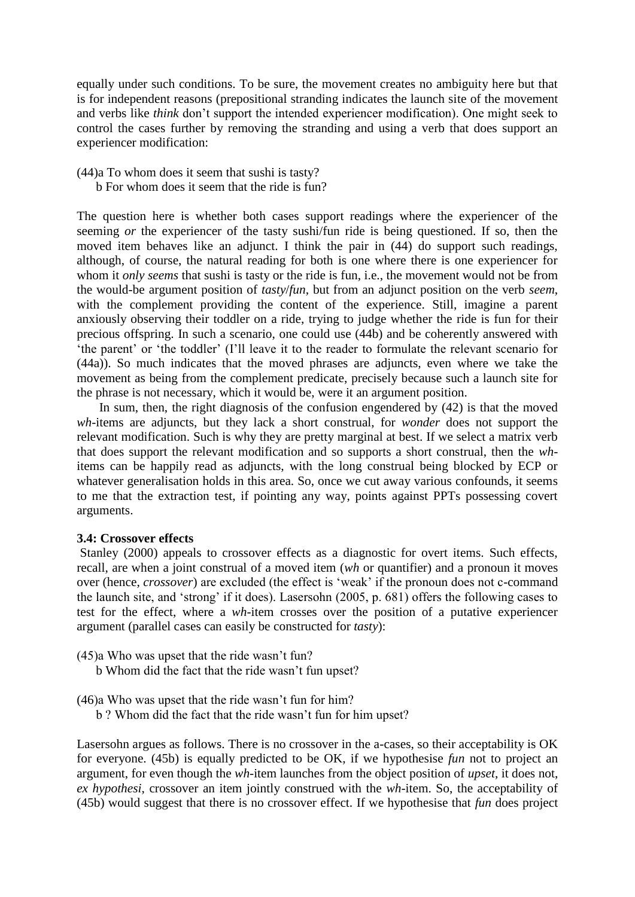equally under such conditions. To be sure, the movement creates no ambiguity here but that is for independent reasons (prepositional stranding indicates the launch site of the movement and verbs like *think* don't support the intended experiencer modification). One might seek to control the cases further by removing the stranding and using a verb that does support an experiencer modification:

- (44)a To whom does it seem that sushi is tasty?
	- b For whom does it seem that the ride is fun?

The question here is whether both cases support readings where the experiencer of the seeming *or* the experiencer of the tasty sushi/fun ride is being questioned. If so, then the moved item behaves like an adjunct. I think the pair in (44) do support such readings, although, of course, the natural reading for both is one where there is one experiencer for whom it *only seems* that sushi is tasty or the ride is fun, i.e., the movement would not be from the would-be argument position of *tasty*/*fun*, but from an adjunct position on the verb *seem*, with the complement providing the content of the experience. Still, imagine a parent anxiously observing their toddler on a ride, trying to judge whether the ride is fun for their precious offspring. In such a scenario, one could use (44b) and be coherently answered with 'the parent' or 'the toddler' (I'll leave it to the reader to formulate the relevant scenario for (44a)). So much indicates that the moved phrases are adjuncts, even where we take the movement as being from the complement predicate, precisely because such a launch site for the phrase is not necessary, which it would be, were it an argument position.

 In sum, then, the right diagnosis of the confusion engendered by (42) is that the moved *wh*-items are adjuncts, but they lack a short construal, for *wonder* does not support the relevant modification. Such is why they are pretty marginal at best. If we select a matrix verb that does support the relevant modification and so supports a short construal, then the *wh*items can be happily read as adjuncts, with the long construal being blocked by ECP or whatever generalisation holds in this area. So, once we cut away various confounds, it seems to me that the extraction test, if pointing any way, points against PPTs possessing covert arguments.

## **3.4: Crossover effects**

Stanley (2000) appeals to crossover effects as a diagnostic for overt items. Such effects, recall, are when a joint construal of a moved item (*wh* or quantifier) and a pronoun it moves over (hence, *crossover*) are excluded (the effect is 'weak' if the pronoun does not c-command the launch site, and 'strong' if it does). Lasersohn (2005, p. 681) offers the following cases to test for the effect, where a *wh*-item crosses over the position of a putative experiencer argument (parallel cases can easily be constructed for *tasty*):

- (45)a Who was upset that the ride wasn't fun?
	- b Whom did the fact that the ride wasn't fun upset?
- (46)a Who was upset that the ride wasn't fun for him?
	- b ? Whom did the fact that the ride wasn't fun for him upset?

Lasersohn argues as follows. There is no crossover in the a-cases, so their acceptability is OK for everyone. (45b) is equally predicted to be OK, if we hypothesise *fun* not to project an argument, for even though the *wh*-item launches from the object position of *upset*, it does not, *ex hypothesi*, crossover an item jointly construed with the *wh*-item. So, the acceptability of (45b) would suggest that there is no crossover effect. If we hypothesise that *fun* does project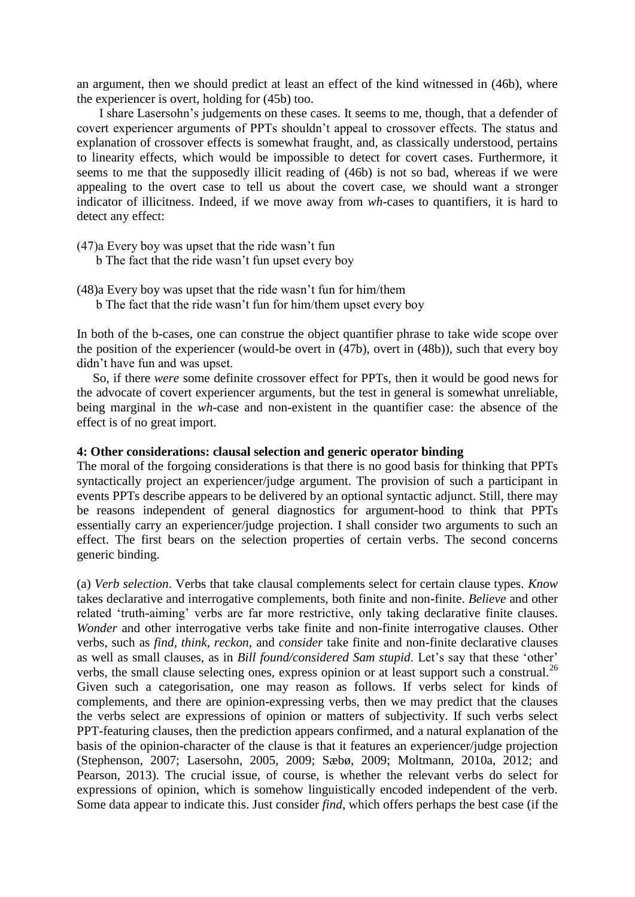an argument, then we should predict at least an effect of the kind witnessed in (46b), where the experiencer is overt, holding for (45b) too.

 I share Lasersohn's judgements on these cases. It seems to me, though, that a defender of covert experiencer arguments of PPTs shouldn't appeal to crossover effects. The status and explanation of crossover effects is somewhat fraught, and, as classically understood, pertains to linearity effects, which would be impossible to detect for covert cases. Furthermore, it seems to me that the supposedly illicit reading of (46b) is not so bad, whereas if we were appealing to the overt case to tell us about the covert case, we should want a stronger indicator of illicitness. Indeed, if we move away from *wh*-cases to quantifiers, it is hard to detect any effect:

- (47)a Every boy was upset that the ride wasn't fun
	- b The fact that the ride wasn't fun upset every boy
- (48)a Every boy was upset that the ride wasn't fun for him/them b The fact that the ride wasn't fun for him/them upset every boy

In both of the b-cases, one can construe the object quantifier phrase to take wide scope over the position of the experiencer (would-be overt in (47b), overt in (48b)), such that every boy didn't have fun and was upset.

 So, if there *were* some definite crossover effect for PPTs, then it would be good news for the advocate of covert experiencer arguments, but the test in general is somewhat unreliable, being marginal in the *wh*-case and non-existent in the quantifier case: the absence of the effect is of no great import.

## **4: Other considerations: clausal selection and generic operator binding**

The moral of the forgoing considerations is that there is no good basis for thinking that PPTs syntactically project an experiencer/judge argument. The provision of such a participant in events PPTs describe appears to be delivered by an optional syntactic adjunct. Still, there may be reasons independent of general diagnostics for argument-hood to think that PPTs essentially carry an experiencer/judge projection. I shall consider two arguments to such an effect. The first bears on the selection properties of certain verbs. The second concerns generic binding.

(a) *Verb selection*. Verbs that take clausal complements select for certain clause types. *Know* takes declarative and interrogative complements, both finite and non-finite. *Believe* and other related 'truth-aiming' verbs are far more restrictive, only taking declarative finite clauses. *Wonder* and other interrogative verbs take finite and non-finite interrogative clauses. Other verbs, such as *find*, *think*, *reckon*, and *consider* take finite and non-finite declarative clauses as well as small clauses, as in *Bill found/considered Sam stupid*. Let's say that these 'other' verbs, the small clause selecting ones, express opinion or at least support such a construal.<sup>26</sup> Given such a categorisation, one may reason as follows. If verbs select for kinds of complements, and there are opinion-expressing verbs, then we may predict that the clauses the verbs select are expressions of opinion or matters of subjectivity. If such verbs select PPT-featuring clauses, then the prediction appears confirmed, and a natural explanation of the basis of the opinion-character of the clause is that it features an experiencer/judge projection (Stephenson, 2007; Lasersohn, 2005, 2009; Sæbø, 2009; Moltmann, 2010a, 2012; and Pearson, 2013). The crucial issue, of course, is whether the relevant verbs do select for expressions of opinion, which is somehow linguistically encoded independent of the verb. Some data appear to indicate this. Just consider *find*, which offers perhaps the best case (if the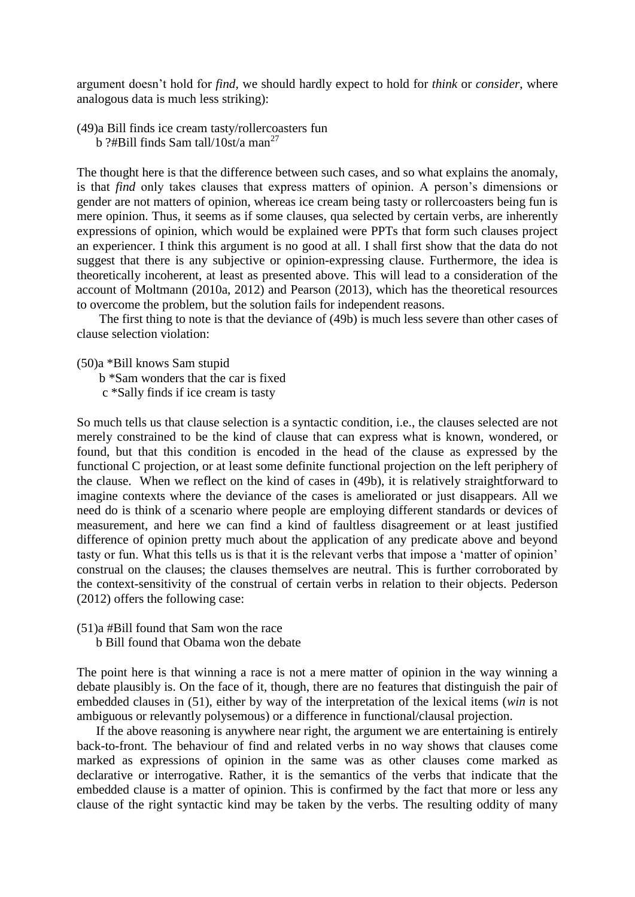argument doesn't hold for *find*, we should hardly expect to hold for *think* or *consider*, where analogous data is much less striking):

(49)a Bill finds ice cream tasty/rollercoasters fun b ?#Bill finds Sam tall/10st/a man<sup>27</sup>

The thought here is that the difference between such cases, and so what explains the anomaly, is that *find* only takes clauses that express matters of opinion. A person's dimensions or gender are not matters of opinion, whereas ice cream being tasty or rollercoasters being fun is mere opinion. Thus, it seems as if some clauses, qua selected by certain verbs, are inherently expressions of opinion, which would be explained were PPTs that form such clauses project an experiencer. I think this argument is no good at all. I shall first show that the data do not suggest that there is any subjective or opinion-expressing clause. Furthermore, the idea is theoretically incoherent, at least as presented above. This will lead to a consideration of the account of Moltmann (2010a, 2012) and Pearson (2013), which has the theoretical resources to overcome the problem, but the solution fails for independent reasons.

 The first thing to note is that the deviance of (49b) is much less severe than other cases of clause selection violation:

(50)a \*Bill knows Sam stupid

b \*Sam wonders that the car is fixed

c \*Sally finds if ice cream is tasty

So much tells us that clause selection is a syntactic condition, i.e., the clauses selected are not merely constrained to be the kind of clause that can express what is known, wondered, or found, but that this condition is encoded in the head of the clause as expressed by the functional C projection, or at least some definite functional projection on the left periphery of the clause. When we reflect on the kind of cases in (49b), it is relatively straightforward to imagine contexts where the deviance of the cases is ameliorated or just disappears. All we need do is think of a scenario where people are employing different standards or devices of measurement, and here we can find a kind of faultless disagreement or at least justified difference of opinion pretty much about the application of any predicate above and beyond tasty or fun. What this tells us is that it is the relevant verbs that impose a 'matter of opinion' construal on the clauses; the clauses themselves are neutral. This is further corroborated by the context-sensitivity of the construal of certain verbs in relation to their objects. Pederson (2012) offers the following case:

(51)a #Bill found that Sam won the race b Bill found that Obama won the debate

The point here is that winning a race is not a mere matter of opinion in the way winning a debate plausibly is. On the face of it, though, there are no features that distinguish the pair of embedded clauses in (51), either by way of the interpretation of the lexical items (*win* is not ambiguous or relevantly polysemous) or a difference in functional/clausal projection.

 If the above reasoning is anywhere near right, the argument we are entertaining is entirely back-to-front. The behaviour of find and related verbs in no way shows that clauses come marked as expressions of opinion in the same was as other clauses come marked as declarative or interrogative. Rather, it is the semantics of the verbs that indicate that the embedded clause is a matter of opinion. This is confirmed by the fact that more or less any clause of the right syntactic kind may be taken by the verbs. The resulting oddity of many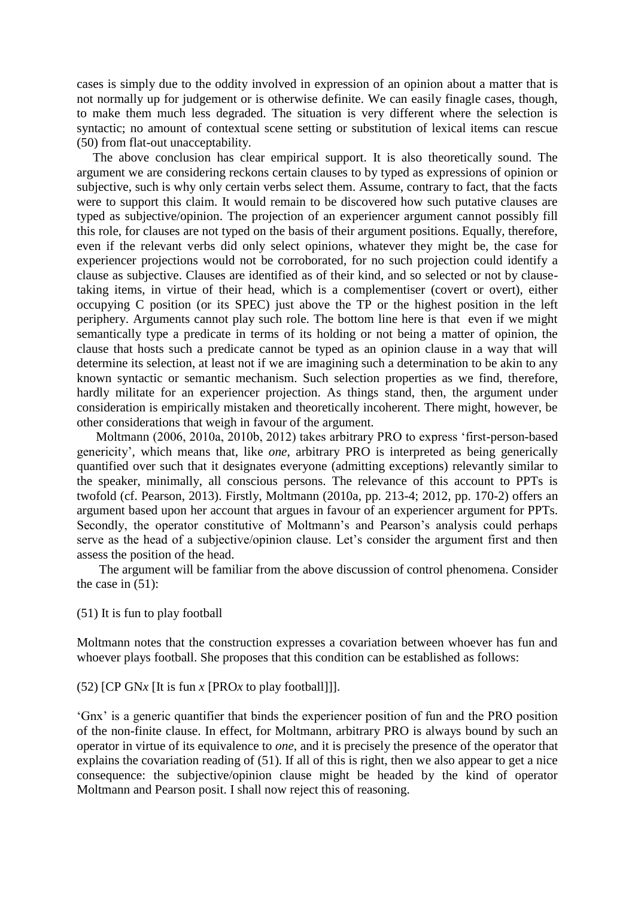cases is simply due to the oddity involved in expression of an opinion about a matter that is not normally up for judgement or is otherwise definite. We can easily finagle cases, though, to make them much less degraded. The situation is very different where the selection is syntactic; no amount of contextual scene setting or substitution of lexical items can rescue (50) from flat-out unacceptability.

 The above conclusion has clear empirical support. It is also theoretically sound. The argument we are considering reckons certain clauses to by typed as expressions of opinion or subjective, such is why only certain verbs select them. Assume, contrary to fact, that the facts were to support this claim. It would remain to be discovered how such putative clauses are typed as subjective/opinion. The projection of an experiencer argument cannot possibly fill this role, for clauses are not typed on the basis of their argument positions. Equally, therefore, even if the relevant verbs did only select opinions, whatever they might be, the case for experiencer projections would not be corroborated, for no such projection could identify a clause as subjective. Clauses are identified as of their kind, and so selected or not by clausetaking items, in virtue of their head, which is a complementiser (covert or overt), either occupying C position (or its SPEC) just above the TP or the highest position in the left periphery. Arguments cannot play such role. The bottom line here is that even if we might semantically type a predicate in terms of its holding or not being a matter of opinion, the clause that hosts such a predicate cannot be typed as an opinion clause in a way that will determine its selection, at least not if we are imagining such a determination to be akin to any known syntactic or semantic mechanism. Such selection properties as we find, therefore, hardly militate for an experiencer projection. As things stand, then, the argument under consideration is empirically mistaken and theoretically incoherent. There might, however, be other considerations that weigh in favour of the argument.

 Moltmann (2006, 2010a, 2010b, 2012) takes arbitrary PRO to express 'first-person-based genericity', which means that, like *one*, arbitrary PRO is interpreted as being generically quantified over such that it designates everyone (admitting exceptions) relevantly similar to the speaker, minimally, all conscious persons. The relevance of this account to PPTs is twofold (cf. Pearson, 2013). Firstly, Moltmann (2010a, pp. 213-4; 2012, pp. 170-2) offers an argument based upon her account that argues in favour of an experiencer argument for PPTs. Secondly, the operator constitutive of Moltmann's and Pearson's analysis could perhaps serve as the head of a subjective/opinion clause. Let's consider the argument first and then assess the position of the head.

 The argument will be familiar from the above discussion of control phenomena. Consider the case in  $(51)$ :

(51) It is fun to play football

Moltmann notes that the construction expresses a covariation between whoever has fun and whoever plays football. She proposes that this condition can be established as follows:

(52) [CP GN*x* [It is fun *x* [PRO*x* to play football]]].

'Gnx' is a generic quantifier that binds the experiencer position of fun and the PRO position of the non-finite clause. In effect, for Moltmann, arbitrary PRO is always bound by such an operator in virtue of its equivalence to *one*, and it is precisely the presence of the operator that explains the covariation reading of (51). If all of this is right, then we also appear to get a nice consequence: the subjective/opinion clause might be headed by the kind of operator Moltmann and Pearson posit. I shall now reject this of reasoning.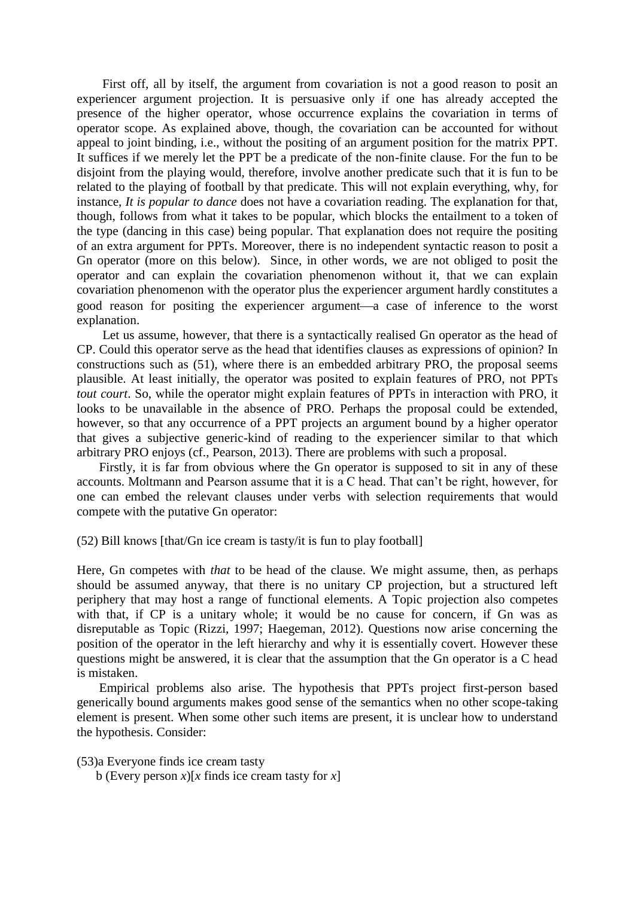First off, all by itself, the argument from covariation is not a good reason to posit an experiencer argument projection. It is persuasive only if one has already accepted the presence of the higher operator, whose occurrence explains the covariation in terms of operator scope. As explained above, though, the covariation can be accounted for without appeal to joint binding, i.e., without the positing of an argument position for the matrix PPT. It suffices if we merely let the PPT be a predicate of the non-finite clause. For the fun to be disjoint from the playing would, therefore, involve another predicate such that it is fun to be related to the playing of football by that predicate. This will not explain everything, why, for instance, *It is popular to dance* does not have a covariation reading. The explanation for that, though, follows from what it takes to be popular, which blocks the entailment to a token of the type (dancing in this case) being popular. That explanation does not require the positing of an extra argument for PPTs. Moreover, there is no independent syntactic reason to posit a Gn operator (more on this below). Since, in other words, we are not obliged to posit the operator and can explain the covariation phenomenon without it, that we can explain covariation phenomenon with the operator plus the experiencer argument hardly constitutes a good reason for positing the experiencer argument—a case of inference to the worst explanation.

 Let us assume, however, that there is a syntactically realised Gn operator as the head of CP. Could this operator serve as the head that identifies clauses as expressions of opinion? In constructions such as (51), where there is an embedded arbitrary PRO, the proposal seems plausible. At least initially, the operator was posited to explain features of PRO, not PPTs *tout court*. So, while the operator might explain features of PPTs in interaction with PRO, it looks to be unavailable in the absence of PRO. Perhaps the proposal could be extended, however, so that any occurrence of a PPT projects an argument bound by a higher operator that gives a subjective generic-kind of reading to the experiencer similar to that which arbitrary PRO enjoys (cf., Pearson, 2013). There are problems with such a proposal.

 Firstly, it is far from obvious where the Gn operator is supposed to sit in any of these accounts. Moltmann and Pearson assume that it is a C head. That can't be right, however, for one can embed the relevant clauses under verbs with selection requirements that would compete with the putative Gn operator:

(52) Bill knows [that/Gn ice cream is tasty/it is fun to play football]

Here, Gn competes with *that* to be head of the clause. We might assume, then, as perhaps should be assumed anyway, that there is no unitary CP projection, but a structured left periphery that may host a range of functional elements. A Topic projection also competes with that, if CP is a unitary whole; it would be no cause for concern, if Gn was as disreputable as Topic (Rizzi, 1997; Haegeman, 2012). Questions now arise concerning the position of the operator in the left hierarchy and why it is essentially covert. However these questions might be answered, it is clear that the assumption that the Gn operator is a C head is mistaken.

 Empirical problems also arise. The hypothesis that PPTs project first-person based generically bound arguments makes good sense of the semantics when no other scope-taking element is present. When some other such items are present, it is unclear how to understand the hypothesis. Consider:

(53)a Everyone finds ice cream tasty

b (Every person  $x$ )[ $x$  finds ice cream tasty for  $x$ ]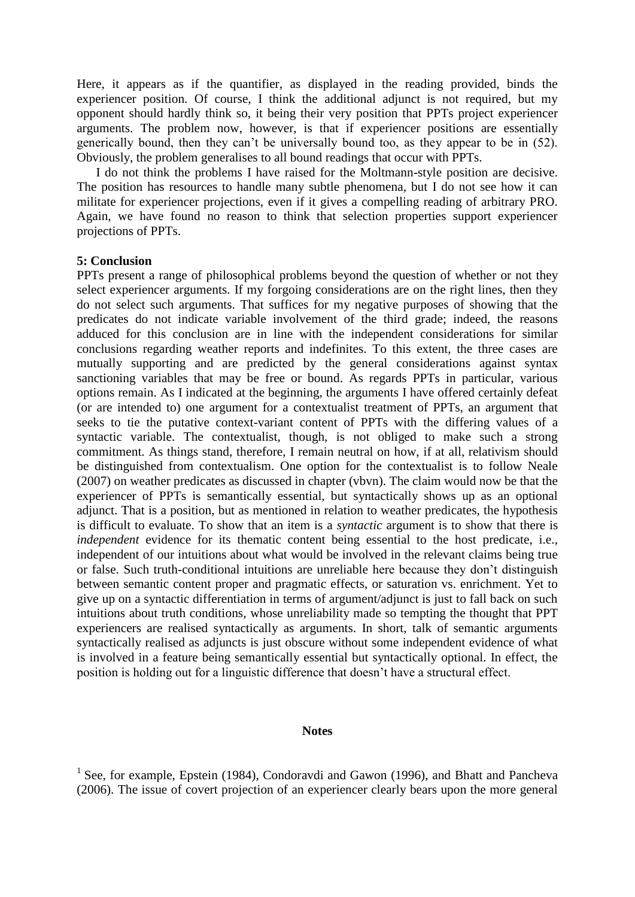Here, it appears as if the quantifier, as displayed in the reading provided, binds the experiencer position. Of course, I think the additional adjunct is not required, but my opponent should hardly think so, it being their very position that PPTs project experiencer arguments. The problem now, however, is that if experiencer positions are essentially generically bound, then they can't be universally bound too, as they appear to be in (52). Obviously, the problem generalises to all bound readings that occur with PPTs.

 I do not think the problems I have raised for the Moltmann-style position are decisive. The position has resources to handle many subtle phenomena, but I do not see how it can militate for experiencer projections, even if it gives a compelling reading of arbitrary PRO. Again, we have found no reason to think that selection properties support experiencer projections of PPTs.

### **5: Conclusion**

PPTs present a range of philosophical problems beyond the question of whether or not they select experiencer arguments. If my forgoing considerations are on the right lines, then they do not select such arguments. That suffices for my negative purposes of showing that the predicates do not indicate variable involvement of the third grade; indeed, the reasons adduced for this conclusion are in line with the independent considerations for similar conclusions regarding weather reports and indefinites. To this extent, the three cases are mutually supporting and are predicted by the general considerations against syntax sanctioning variables that may be free or bound. As regards PPTs in particular, various options remain. As I indicated at the beginning, the arguments I have offered certainly defeat (or are intended to) one argument for a contextualist treatment of PPTs, an argument that seeks to tie the putative context-variant content of PPTs with the differing values of a syntactic variable. The contextualist, though, is not obliged to make such a strong commitment. As things stand, therefore, I remain neutral on how, if at all, relativism should be distinguished from contextualism. One option for the contextualist is to follow Neale (2007) on weather predicates as discussed in chapter (vbvn). The claim would now be that the experiencer of PPTs is semantically essential, but syntactically shows up as an optional adjunct. That is a position, but as mentioned in relation to weather predicates, the hypothesis is difficult to evaluate. To show that an item is a *syntactic* argument is to show that there is *independent* evidence for its thematic content being essential to the host predicate, i.e., independent of our intuitions about what would be involved in the relevant claims being true or false. Such truth-conditional intuitions are unreliable here because they don't distinguish between semantic content proper and pragmatic effects, or saturation vs. enrichment. Yet to give up on a syntactic differentiation in terms of argument/adjunct is just to fall back on such intuitions about truth conditions, whose unreliability made so tempting the thought that PPT experiencers are realised syntactically as arguments. In short, talk of semantic arguments syntactically realised as adjuncts is just obscure without some independent evidence of what is involved in a feature being semantically essential but syntactically optional. In effect, the position is holding out for a linguistic difference that doesn't have a structural effect.

#### **Notes**

<sup>&</sup>lt;sup>1</sup> See, for example, Epstein (1984), Condoravdi and Gawon (1996), and Bhatt and Pancheva (2006). The issue of covert projection of an experiencer clearly bears upon the more general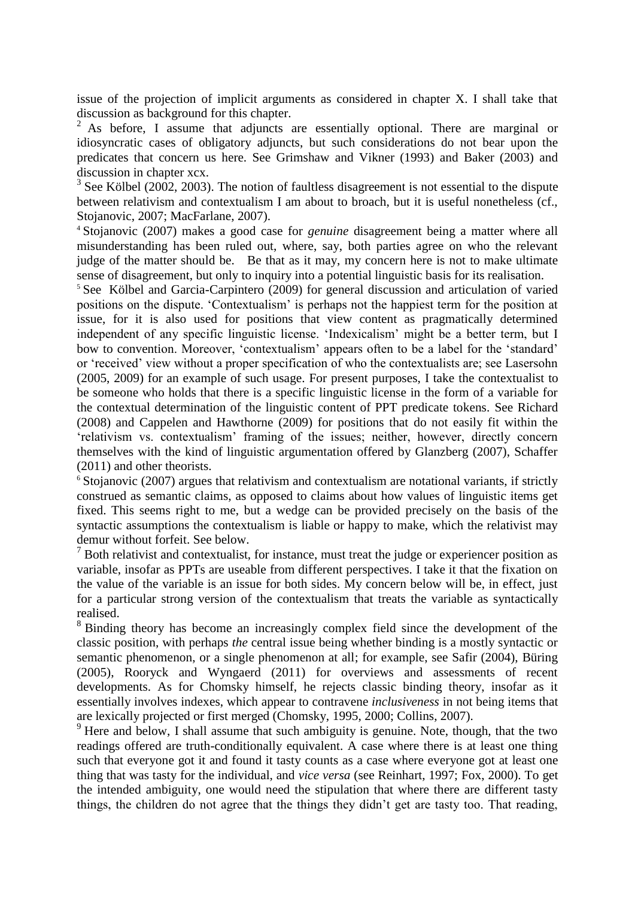issue of the projection of implicit arguments as considered in chapter X. I shall take that discussion as background for this chapter.

<sup>2</sup> As before, I assume that adjuncts are essentially optional. There are marginal or idiosyncratic cases of obligatory adjuncts, but such considerations do not bear upon the predicates that concern us here. See Grimshaw and Vikner (1993) and Baker (2003) and discussion in chapter xcx.

 $3$  See Kölbel (2002, 2003). The notion of faultless disagreement is not essential to the dispute between relativism and contextualism I am about to broach, but it is useful nonetheless (cf., Stojanovic, 2007; MacFarlane, 2007).

<sup>4</sup> Stojanovic (2007) makes a good case for *genuine* disagreement being a matter where all misunderstanding has been ruled out, where, say, both parties agree on who the relevant judge of the matter should be. Be that as it may, my concern here is not to make ultimate sense of disagreement, but only to inquiry into a potential linguistic basis for its realisation.

<sup>5</sup> See Kölbel and Garcia-Carpintero (2009) for general discussion and articulation of varied positions on the dispute. 'Contextualism' is perhaps not the happiest term for the position at issue, for it is also used for positions that view content as pragmatically determined independent of any specific linguistic license. 'Indexicalism' might be a better term, but I bow to convention. Moreover, 'contextualism' appears often to be a label for the 'standard' or 'received' view without a proper specification of who the contextualists are; see Lasersohn (2005, 2009) for an example of such usage. For present purposes, I take the contextualist to be someone who holds that there is a specific linguistic license in the form of a variable for the contextual determination of the linguistic content of PPT predicate tokens. See Richard (2008) and Cappelen and Hawthorne (2009) for positions that do not easily fit within the 'relativism vs. contextualism' framing of the issues; neither, however, directly concern themselves with the kind of linguistic argumentation offered by Glanzberg (2007), Schaffer (2011) and other theorists.

<sup>6</sup> Stojanovic (2007) argues that relativism and contextualism are notational variants, if strictly construed as semantic claims, as opposed to claims about how values of linguistic items get fixed. This seems right to me, but a wedge can be provided precisely on the basis of the syntactic assumptions the contextualism is liable or happy to make, which the relativist may demur without forfeit. See below.

 $<sup>7</sup>$  Both relativist and contextualist, for instance, must treat the judge or experiencer position as</sup> variable, insofar as PPTs are useable from different perspectives. I take it that the fixation on the value of the variable is an issue for both sides. My concern below will be, in effect, just for a particular strong version of the contextualism that treats the variable as syntactically realised.

<sup>8</sup> Binding theory has become an increasingly complex field since the development of the classic position, with perhaps *the* central issue being whether binding is a mostly syntactic or semantic phenomenon, or a single phenomenon at all; for example, see Safir (2004), Büring (2005), Rooryck and Wyngaerd (2011) for overviews and assessments of recent developments. As for Chomsky himself, he rejects classic binding theory, insofar as it essentially involves indexes, which appear to contravene *inclusiveness* in not being items that are lexically projected or first merged (Chomsky, 1995, 2000; Collins, 2007).

<sup>9</sup> Here and below, I shall assume that such ambiguity is genuine. Note, though, that the two readings offered are truth-conditionally equivalent. A case where there is at least one thing such that everyone got it and found it tasty counts as a case where everyone got at least one thing that was tasty for the individual, and *vice versa* (see Reinhart, 1997; Fox, 2000). To get the intended ambiguity, one would need the stipulation that where there are different tasty things, the children do not agree that the things they didn't get are tasty too. That reading,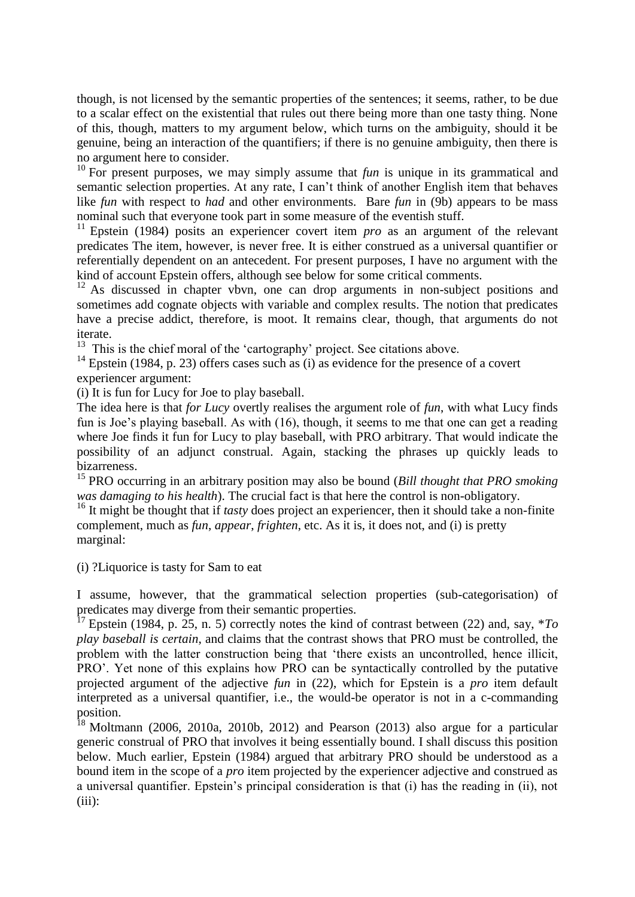though, is not licensed by the semantic properties of the sentences; it seems, rather, to be due to a scalar effect on the existential that rules out there being more than one tasty thing. None of this, though, matters to my argument below, which turns on the ambiguity, should it be genuine, being an interaction of the quantifiers; if there is no genuine ambiguity, then there is no argument here to consider.

<sup>10</sup> For present purposes, we may simply assume that *fun* is unique in its grammatical and semantic selection properties. At any rate, I can't think of another English item that behaves like *fun* with respect to *had* and other environments. Bare *fun* in (9b) appears to be mass nominal such that everyone took part in some measure of the eventish stuff.

<sup>11</sup> Epstein (1984) posits an experiencer covert item *pro* as an argument of the relevant predicates The item, however, is never free. It is either construed as a universal quantifier or referentially dependent on an antecedent. For present purposes, I have no argument with the kind of account Epstein offers, although see below for some critical comments.

<sup>12</sup> As discussed in chapter vbvn, one can drop arguments in non-subject positions and sometimes add cognate objects with variable and complex results. The notion that predicates have a precise addict, therefore, is moot. It remains clear, though, that arguments do not iterate.

 $13$  This is the chief moral of the 'cartography' project. See citations above.

<sup>14</sup> Epstein (1984, p. 23) offers cases such as (i) as evidence for the presence of a covert experiencer argument:

(i) It is fun for Lucy for Joe to play baseball.

The idea here is that *for Lucy* overtly realises the argument role of *fun*, with what Lucy finds fun is Joe's playing baseball. As with (16), though, it seems to me that one can get a reading where Joe finds it fun for Lucy to play baseball, with PRO arbitrary. That would indicate the possibility of an adjunct construal. Again, stacking the phrases up quickly leads to bizarreness.

<sup>15</sup> PRO occurring in an arbitrary position may also be bound (*Bill thought that PRO smoking was damaging to his health*). The crucial fact is that here the control is non-obligatory.

<sup>16</sup> It might be thought that if *tasty* does project an experiencer, then it should take a non-finite complement, much as *fun*, *appear*, *frighten*, etc. As it is, it does not, and (i) is pretty marginal:

(i) ?Liquorice is tasty for Sam to eat

I assume, however, that the grammatical selection properties (sub-categorisation) of predicates may diverge from their semantic properties.

<sup>17</sup> Epstein (1984, p. 25, n. 5) correctly notes the kind of contrast between (22) and, say, \**To play baseball is certain*, and claims that the contrast shows that PRO must be controlled, the problem with the latter construction being that 'there exists an uncontrolled, hence illicit, PRO'. Yet none of this explains how PRO can be syntactically controlled by the putative projected argument of the adjective *fun* in (22), which for Epstein is a *pro* item default interpreted as a universal quantifier, i.e., the would-be operator is not in a c-commanding position.

 $18$  Moltmann (2006, 2010a, 2010b, 2012) and Pearson (2013) also argue for a particular generic construal of PRO that involves it being essentially bound. I shall discuss this position below. Much earlier, Epstein (1984) argued that arbitrary PRO should be understood as a bound item in the scope of a *pro* item projected by the experiencer adjective and construed as a universal quantifier. Epstein's principal consideration is that (i) has the reading in (ii), not  $(iii)$ :